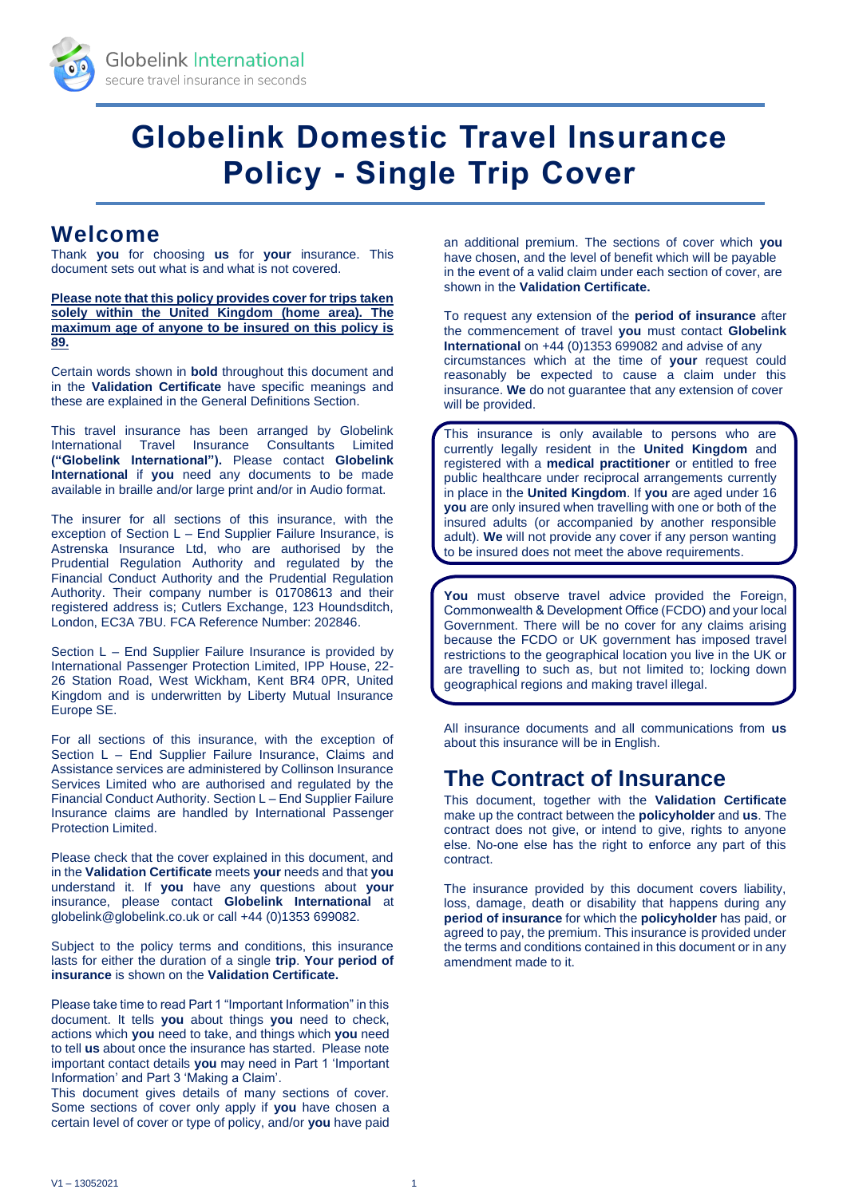

# **Globelink Domestic Travel Insurance Policy - Single Trip Cover**

# **Welcome**

Thank **you** for choosing **us** for **your** insurance. This document sets out what is and what is not covered.

**Please note that this policy provides cover for trips taken solely within the United Kingdom (home area). The maximum age of anyone to be insured on this policy is 89.**

Certain words shown in **bold** throughout this document and in the **Validation Certificate** have specific meanings and these are explained in the General Definitions Section.

This travel insurance has been arranged by Globelink International Travel Insurance Consultants Limited **("Globelink International").** Please contact **Globelink International** if **you** need any documents to be made available in braille and/or large print and/or in Audio format.

The insurer for all sections of this insurance, with the exception of Section L – End Supplier Failure Insurance, is Astrenska Insurance Ltd, who are authorised by the Prudential Regulation Authority and regulated by the Financial Conduct Authority and the Prudential Regulation Authority. Their company number is 01708613 and their registered address is; Cutlers Exchange, 123 Houndsditch, London, EC3A 7BU. FCA Reference Number: 202846.

Section L – End Supplier Failure Insurance is provided by International Passenger Protection Limited, IPP House, 22- 26 Station Road, West Wickham, Kent BR4 0PR, United Kingdom and is underwritten by Liberty Mutual Insurance Europe SE.

For all sections of this insurance, with the exception of Section L – End Supplier Failure Insurance, Claims and Assistance services are administered by Collinson Insurance Services Limited who are authorised and regulated by the Financial Conduct Authority. Section L – End Supplier Failure Insurance claims are handled by International Passenger Protection Limited.

Please check that the cover explained in this document, and in the **Validation Certificate** meets **your** needs and that **you** understand it. If **you** have any questions about **your** insurance, please contact **Globelink International** at globelink@globelink.co.uk or call +44 (0)1353 699082.

Subject to the policy terms and conditions, this insurance lasts for either the duration of a single **trip**. **Your period of insurance** is shown on the **Validation Certificate.**

Please take time to read Part 1 "Important Information" in this document. It tells **you** about things **you** need to check, actions which **you** need to take, and things which **you** need to tell **us** about once the insurance has started. Please note important contact details **you** may need in Part 1 'Important Information' and Part 3 'Making a Claim'.

This document gives details of many sections of cover. Some sections of cover only apply if **you** have chosen a certain level of cover or type of policy, and/or **you** have paid

an additional premium. The sections of cover which **you** have chosen, and the level of benefit which will be payable in the event of a valid claim under each section of cover, are shown in the **Validation Certificate.**

To request any extension of the **period of insurance** after the commencement of travel **you** must contact **Globelink International** on +44 (0)1353 699082 and advise of any circumstances which at the time of **your** request could reasonably be expected to cause a claim under this insurance. **We** do not guarantee that any extension of cover will be provided.

This insurance is only available to persons who are currently legally resident in the **United Kingdom** and registered with a **medical practitioner** or entitled to free public healthcare under reciprocal arrangements currently in place in the **United Kingdom**. If **you** are aged under 16 **you** are only insured when travelling with one or both of the insured adults (or accompanied by another responsible adult). **We** will not provide any cover if any person wanting to be insured does not meet the above requirements.

**You** must observe travel advice provided the Foreign, Commonwealth & Development Office (FCDO) and your local Government. There will be no cover for any claims arising because the FCDO or UK government has imposed travel restrictions to the geographical location you live in the UK or are travelling to such as, but not limited to; locking down geographical regions and making travel illegal.

All insurance documents and all communications from **us** about this insurance will be in English.

# **The Contract of Insurance**

This document, together with the **Validation Certificate**  make up the contract between the **policyholder** and **us**. The contract does not give, or intend to give, rights to anyone else. No-one else has the right to enforce any part of this contract.

The insurance provided by this document covers liability, loss, damage, death or disability that happens during any **period of insurance** for which the **policyholder** has paid, or agreed to pay, the premium. This insurance is provided under the terms and conditions contained in this document or in any amendment made to it.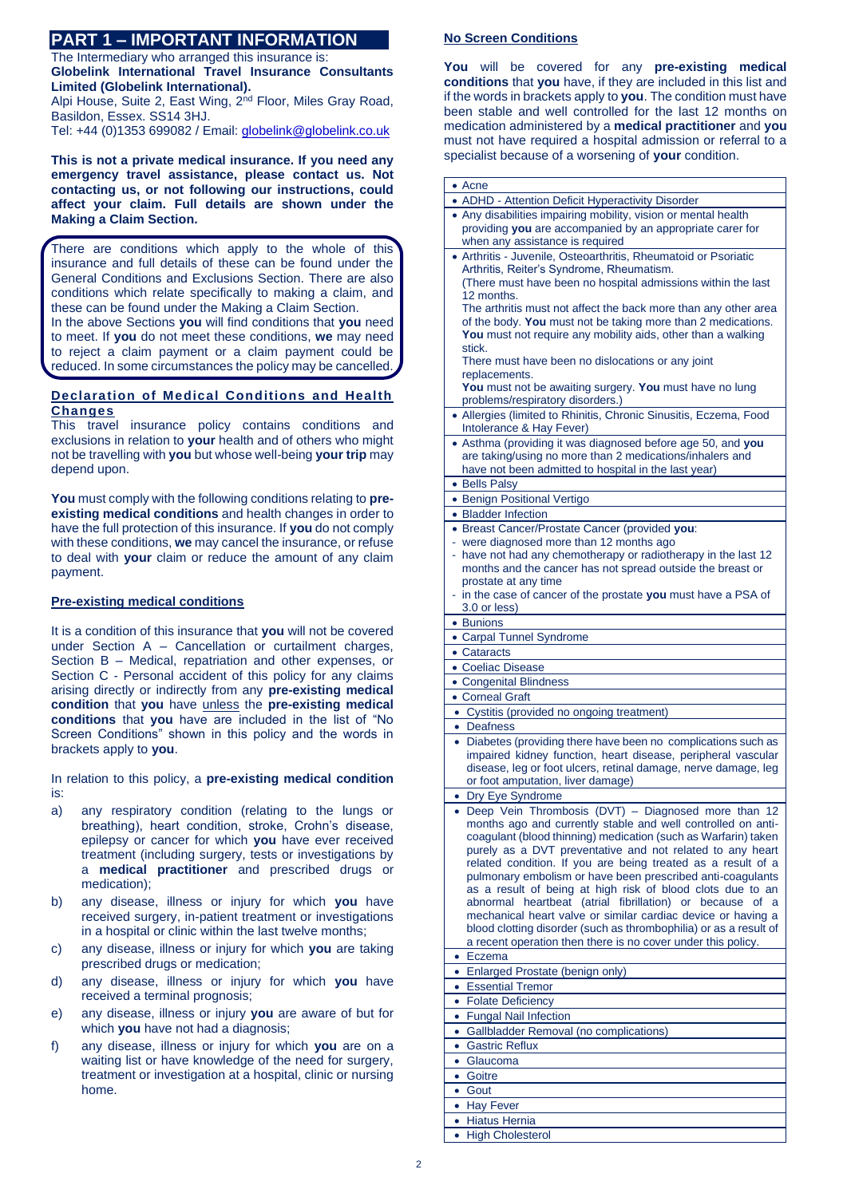# **PART 1 – IMPORTANT INFORMATION**

The Intermediary who arranged this insurance is:

**Globelink International Travel Insurance Consultants Limited (Globelink International).**

Alpi House, Suite 2, East Wing, 2<sup>nd</sup> Floor, Miles Gray Road, Basildon, Essex. SS14 3HJ.

Tel: +44 (0)1353 699082 / Email: [globelink@globelink.co.uk](mailto:globelink@globelink.co.uk)

**This is not a private medical insurance. If you need any emergency travel assistance, please contact us. Not contacting us, or not following our instructions, could affect your claim. Full details are shown under the Making a Claim Section.**

There are conditions which apply to the whole of this insurance and full details of these can be found under the General Conditions and Exclusions Section. There are also conditions which relate specifically to making a claim, and these can be found under the Making a Claim Section.

In the above Sections **you** will find conditions that **you** need to meet. If **you** do not meet these conditions, **we** may need to reject a claim payment or a claim payment could be reduced. In some circumstances the policy may be cancelled.

# **Declaration of Medical Conditions and Health Changes**

This travel insurance policy contains conditions and exclusions in relation to **your** health and of others who might not be travelling with **you** but whose well-being **your trip** may depend upon.

You must comply with the following conditions relating to **preexisting medical conditions** and health changes in order to have the full protection of this insurance. If **you** do not comply with these conditions, **we** may cancel the insurance, or refuse to deal with **your** claim or reduce the amount of any claim payment.

# **Pre-existing medical conditions**

It is a condition of this insurance that **you** will not be covered under Section A – Cancellation or curtailment charges, Section B – Medical, repatriation and other expenses, or Section C - Personal accident of this policy for any claims arising directly or indirectly from any **pre-existing medical condition** that **you** have unless the **pre-existing medical conditions** that **you** have are included in the list of "No Screen Conditions" shown in this policy and the words in brackets apply to **you**.

In relation to this policy, a **pre-existing medical condition** is:

- a) any respiratory condition (relating to the lungs or breathing), heart condition, stroke, Crohn's disease, epilepsy or cancer for which **you** have ever received treatment (including surgery, tests or investigations by a **medical practitioner** and prescribed drugs or medication);
- b) any disease, illness or injury for which **you** have received surgery, in-patient treatment or investigations in a hospital or clinic within the last twelve months;
- c) any disease, illness or injury for which **you** are taking prescribed drugs or medication;
- d) any disease, illness or injury for which **you** have received a terminal prognosis;
- e) any disease, illness or injury **you** are aware of but for which **you** have not had a diagnosis;
- f) any disease, illness or injury for which **you** are on a waiting list or have knowledge of the need for surgery, treatment or investigation at a hospital, clinic or nursing home.

# **No Screen Conditions**

**You** will be covered for any **pre-existing medical conditions** that **you** have, if they are included in this list and if the words in brackets apply to **you**. The condition must have been stable and well controlled for the last 12 months on medication administered by a **medical practitioner** and **you**  must not have required a hospital admission or referral to a specialist because of a worsening of **your** condition.

|           | • Acne                                                                                                                            |
|-----------|-----------------------------------------------------------------------------------------------------------------------------------|
|           | • ADHD - Attention Deficit Hyperactivity Disorder                                                                                 |
|           | • Any disabilities impairing mobility, vision or mental health                                                                    |
|           | providing you are accompanied by an appropriate carer for                                                                         |
|           | when any assistance is required                                                                                                   |
|           | • Arthritis - Juvenile, Osteoarthritis, Rheumatoid or Psoriatic                                                                   |
|           | Arthritis, Reiter's Syndrome, Rheumatism.                                                                                         |
|           | (There must have been no hospital admissions within the last                                                                      |
|           | 12 months.                                                                                                                        |
|           | The arthritis must not affect the back more than any other area                                                                   |
|           | of the body. You must not be taking more than 2 medications.                                                                      |
|           | You must not require any mobility aids, other than a walking                                                                      |
|           | stick.                                                                                                                            |
|           | There must have been no dislocations or any joint                                                                                 |
|           | replacements.                                                                                                                     |
|           | You must not be awaiting surgery. You must have no lung                                                                           |
|           | problems/respiratory disorders.)                                                                                                  |
|           | • Allergies (limited to Rhinitis, Chronic Sinusitis, Eczema, Food                                                                 |
|           | Intolerance & Hay Fever)                                                                                                          |
|           | • Asthma (providing it was diagnosed before age 50, and you                                                                       |
|           | are taking/using no more than 2 medications/inhalers and                                                                          |
|           | have not been admitted to hospital in the last year)                                                                              |
|           | • Bells Palsv                                                                                                                     |
|           |                                                                                                                                   |
|           | • Benign Positional Vertigo                                                                                                       |
|           | • Bladder Infection                                                                                                               |
|           | • Breast Cancer/Prostate Cancer (provided you:                                                                                    |
|           | were diagnosed more than 12 months ago                                                                                            |
|           | - have not had any chemotherapy or radiotherapy in the last 12                                                                    |
|           | months and the cancer has not spread outside the breast or                                                                        |
|           | prostate at any time                                                                                                              |
|           | - in the case of cancer of the prostate you must have a PSA of                                                                    |
|           | 3.0 or less)                                                                                                                      |
|           | • Bunions                                                                                                                         |
|           | • Carpal Tunnel Syndrome                                                                                                          |
|           |                                                                                                                                   |
|           | • Cataracts                                                                                                                       |
|           | • Coeliac Disease                                                                                                                 |
|           |                                                                                                                                   |
|           | • Congenital Blindness                                                                                                            |
|           | • Corneal Graft                                                                                                                   |
|           | • Cystitis (provided no ongoing treatment)                                                                                        |
|           | • Deafness                                                                                                                        |
|           | • Diabetes (providing there have been no complications such as                                                                    |
|           | impaired kidney function, heart disease, peripheral vascular                                                                      |
|           | disease, leg or foot ulcers, retinal damage, nerve damage, leg                                                                    |
|           | or foot amputation, liver damage)                                                                                                 |
|           | • Dry Eye Syndrome                                                                                                                |
|           | · Deep Vein Thrombosis (DVT) - Diagnosed more than 12                                                                             |
|           | months ago and currently stable and well controlled on anti-                                                                      |
|           | coaqulant (blood thinning) medication (such as Warfarin) taken                                                                    |
|           | purely as a DVT preventative and not related to any heart                                                                         |
|           | related condition. If you are being treated as a result of a                                                                      |
|           | pulmonary embolism or have been prescribed anti-coagulants                                                                        |
|           | as a result of being at high risk of blood clots due to an                                                                        |
|           | abnormal heartbeat (atrial fibrillation) or because of<br>a                                                                       |
|           | mechanical heart valve or similar cardiac device or having a                                                                      |
|           | blood clotting disorder (such as thrombophilia) or as a result of<br>a recent operation then there is no cover under this policy. |
|           |                                                                                                                                   |
| ٠         | Eczema                                                                                                                            |
|           | • Enlarged Prostate (benign only)                                                                                                 |
| $\bullet$ | <b>Essential Tremor</b>                                                                                                           |
|           | • Folate Deficiency                                                                                                               |
| $\bullet$ | <b>Fungal Nail Infection</b>                                                                                                      |
|           | • Gallbladder Removal (no complications)                                                                                          |
| $\bullet$ | <b>Gastric Reflux</b>                                                                                                             |
|           | • Glaucoma                                                                                                                        |
|           | • Goitre                                                                                                                          |
|           | • Gout                                                                                                                            |
|           |                                                                                                                                   |
|           | • Hay Fever                                                                                                                       |
|           | • Hiatus Hernia<br>• High Cholesterol                                                                                             |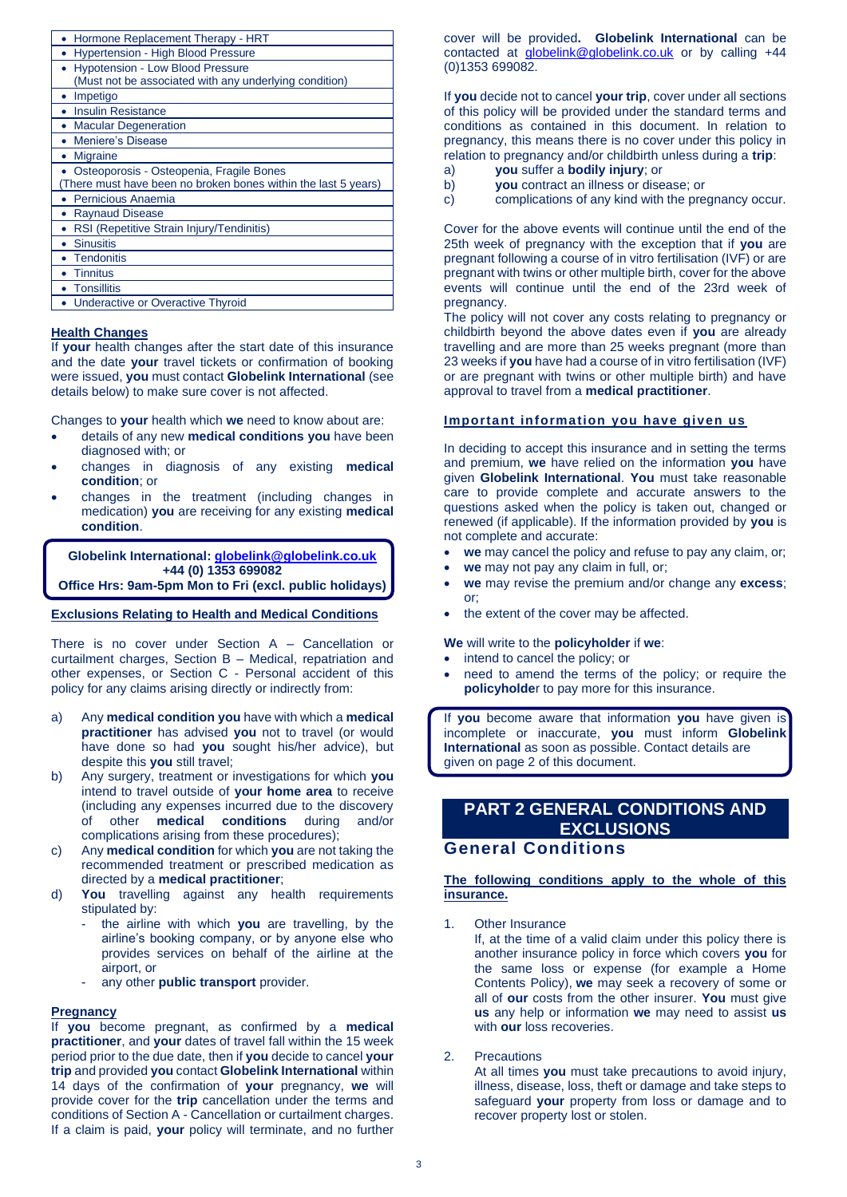| Hormone Replacement Therapy - HRT                             |
|---------------------------------------------------------------|
| Hypertension - High Blood Pressure                            |
| <b>Hypotension - Low Blood Pressure</b>                       |
| (Must not be associated with any underlying condition)        |
| Impetigo                                                      |
| <b>Insulin Resistance</b>                                     |
| <b>Macular Degeneration</b>                                   |
| Meniere's Disease                                             |
| <b>Migraine</b>                                               |
| Osteoporosis - Osteopenia, Fragile Bones                      |
| There must have been no broken bones within the last 5 years) |
| Pernicious Anaemia                                            |
| <b>Raynaud Disease</b>                                        |
| RSI (Repetitive Strain Injury/Tendinitis)                     |
| <b>Sinusitis</b>                                              |
| <b>Tendonitis</b>                                             |
| <b>Tinnitus</b>                                               |
| <b>Tonsillitis</b>                                            |
| Underactive or Overactive Thyroid                             |

### **Health Changes**

If **your** health changes after the start date of this insurance and the date **your** travel tickets or confirmation of booking were issued, **you** must contact **Globelink International** (see details below) to make sure cover is not affected.

Changes to **your** health which **we** need to know about are:

- details of any new **medical conditions you** have been diagnosed with; or
- changes in diagnosis of any existing **medical condition**; or
- changes in the treatment (including changes in medication) **you** are receiving for any existing **medical condition**.

**Globelink International: [globelink@globelink.co.uk](mailto:globelink@globelink.co.uk) +44 (0) 1353 699082 Office Hrs: 9am-5pm Mon to Fri (excl. public holidays)**

# **Exclusions Relating to Health and Medical Conditions**

There is no cover under Section A – Cancellation or curtailment charges, Section B – Medical, repatriation and other expenses, or Section C - Personal accident of this policy for any claims arising directly or indirectly from:

- a) Any **medical condition you** have with which a **medical practitioner** has advised **you** not to travel (or would have done so had **you** sought his/her advice), but despite this **you** still travel;
- b) Any surgery, treatment or investigations for which **you**  intend to travel outside of **your home area** to receive (including any expenses incurred due to the discovery of other **medical conditions** during and/or complications arising from these procedures);
- c) Any **medical condition** for which **you** are not taking the recommended treatment or prescribed medication as directed by a **medical practitioner**;
- d) **You** travelling against any health requirements stipulated by:
	- the airline with which you are travelling, by the airline's booking company, or by anyone else who provides services on behalf of the airline at the airport, or
	- any other **public transport** provider.

### **Pregnancy**

If **you** become pregnant, as confirmed by a **medical practitioner**, and **your** dates of travel fall within the 15 week period prior to the due date, then if **you** decide to cancel **your trip** and provided **you** contact **Globelink International** within 14 days of the confirmation of **your** pregnancy, **we** will provide cover for the **trip** cancellation under the terms and conditions of Section A - Cancellation or curtailment charges. If a claim is paid, **your** policy will terminate, and no further cover will be provided**. Globelink International** can be contacted at [globelink@globelink.co.uk](mailto:globelink@globelink.co.uk) or by calling +44 (0)1353 699082.

If **you** decide not to cancel **your trip**, cover under all sections of this policy will be provided under the standard terms and conditions as contained in this document. In relation to pregnancy, this means there is no cover under this policy in relation to pregnancy and/or childbirth unless during a **trip**:

- a) **you** suffer a **bodily injury**; or
- b) **you** contract an illness or disease; or<br>c) complications of any kind with the pre
- complications of any kind with the pregnancy occur.

Cover for the above events will continue until the end of the 25th week of pregnancy with the exception that if **you** are pregnant following a course of in vitro fertilisation (IVF) or are pregnant with twins or other multiple birth, cover for the above events will continue until the end of the 23rd week of pregnancy.

The policy will not cover any costs relating to pregnancy or childbirth beyond the above dates even if **you** are already travelling and are more than 25 weeks pregnant (more than 23 weeks if **you** have had a course of in vitro fertilisation (IVF) or are pregnant with twins or other multiple birth) and have approval to travel from a **medical practitioner**.

### **Important information you have given us**

In deciding to accept this insurance and in setting the terms and premium, **we** have relied on the information **you** have given **Globelink International**. **You** must take reasonable care to provide complete and accurate answers to the questions asked when the policy is taken out, changed or renewed (if applicable). If the information provided by **you** is not complete and accurate:

- **we** may cancel the policy and refuse to pay any claim, or;
- we may not pay any claim in full, or;
- **we** may revise the premium and/or change any **excess**; or;
- the extent of the cover may be affected.

### **We** will write to the **policyholder** if **we**:

- intend to cancel the policy; or
- need to amend the terms of the policy; or require the **policyholde**r to pay more for this insurance.

If **you** become aware that information **you** have given is incomplete or inaccurate, **you** must inform **Globelink International** as soon as possible. Contact details are given on page 2 of this document.

# **PART 2 GENERAL CONDITIONS AND EXCLUSIONS**

# **General Conditions**

# **The following conditions apply to the whole of this insurance.**

1. Other Insurance

 If, at the time of a valid claim under this policy there is another insurance policy in force which covers **you** for the same loss or expense (for example a Home Contents Policy), **we** may seek a recovery of some or all of **our** costs from the other insurer. **You** must give **us** any help or information **we** may need to assist **us** with **our** loss recoveries.

#### 2. Precautions

At all times **you** must take precautions to avoid injury, illness, disease, loss, theft or damage and take steps to safeguard **your** property from loss or damage and to recover property lost or stolen.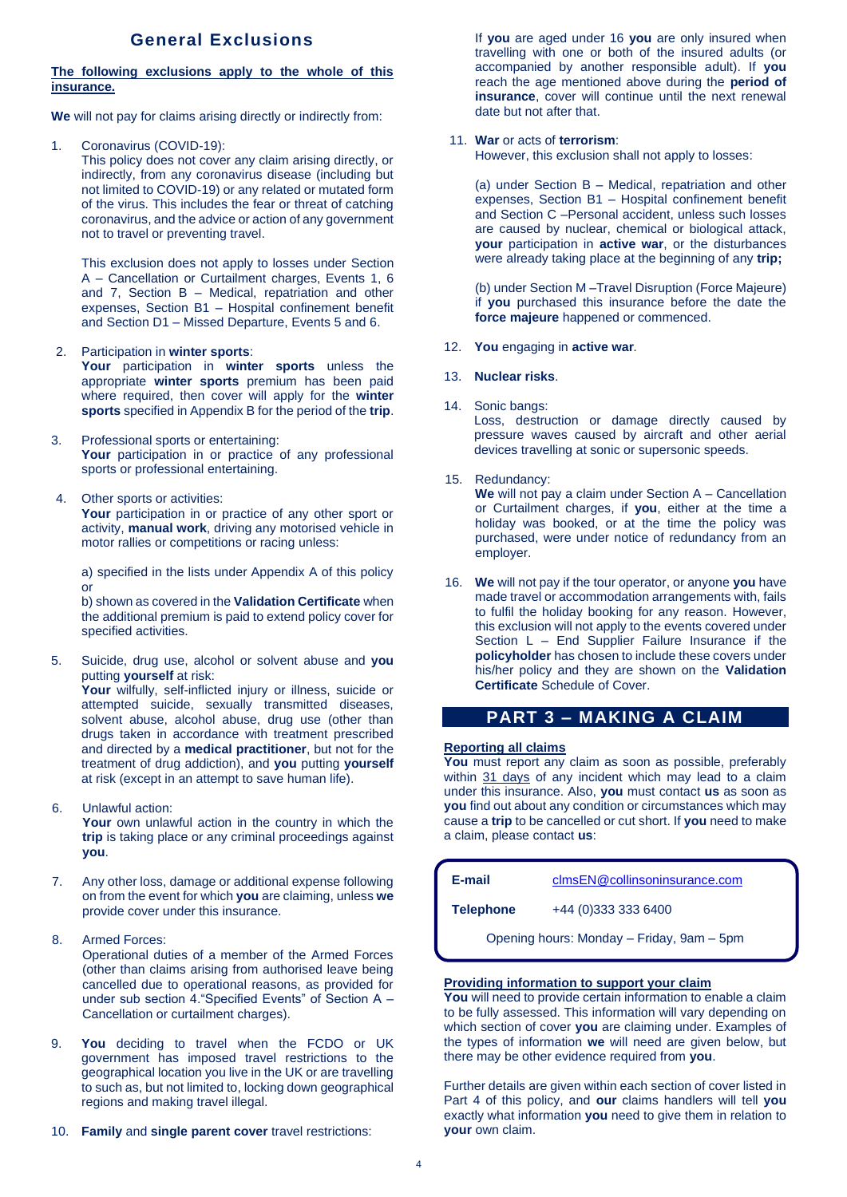# **General Exclusions**

# **The following exclusions apply to the whole of this insurance.**

**We** will not pay for claims arising directly or indirectly from:

1. Coronavirus (COVID-19): This policy does not cover any claim arising directly, or indirectly, from any coronavirus disease (including but not limited to COVID-19) or any related or mutated form of the virus. This includes the fear or threat of catching coronavirus, and the advice or action of any government not to travel or preventing travel.

This exclusion does not apply to losses under Section A – Cancellation or Curtailment charges, Events 1, 6 and 7, Section B – Medical, repatriation and other expenses, Section B1 – Hospital confinement benefit and Section D1 – Missed Departure, Events 5 and 6.

### 2. Participation in **winter sports**:

**Your** participation in **winter sports** unless the appropriate **winter sports** premium has been paid where required, then cover will apply for the **winter sports** specified in Appendix B for the period of the **trip**.

- 3. Professional sports or entertaining: Your participation in or practice of any professional sports or professional entertaining.
- 4. Other sports or activities: Your participation in or practice of any other sport or activity, **manual work**, driving any motorised vehicle in motor rallies or competitions or racing unless:

a) specified in the lists under Appendix A of this policy or

b) shown as covered in the **Validation Certificate** when the additional premium is paid to extend policy cover for specified activities.

5. Suicide, drug use, alcohol or solvent abuse and **you** putting **yourself** at risk: **Your** wilfully, self-inflicted injury or illness, suicide or

attempted suicide, sexually transmitted diseases, solvent abuse, alcohol abuse, drug use (other than drugs taken in accordance with treatment prescribed and directed by a **medical practitioner**, but not for the treatment of drug addiction), and **you** putting **yourself**  at risk (except in an attempt to save human life).

6. Unlawful action:

Your own unlawful action in the country in which the **trip** is taking place or any criminal proceedings against **you**.

- 7. Any other loss, damage or additional expense following on from the event for which **you** are claiming, unless **we** provide cover under this insurance.
- 8. Armed Forces:

Operational duties of a member of the Armed Forces (other than claims arising from authorised leave being cancelled due to operational reasons, as provided for under sub section 4."Specified Events" of Section A – Cancellation or curtailment charges).

- 9. **You** deciding to travel when the FCDO or UK government has imposed travel restrictions to the geographical location you live in the UK or are travelling to such as, but not limited to, locking down geographical regions and making travel illegal.
- 10. **Family** and **single parent cover** travel restrictions:

If **you** are aged under 16 **you** are only insured when travelling with one or both of the insured adults (or accompanied by another responsible adult). If **you** reach the age mentioned above during the **period of insurance**, cover will continue until the next renewal date but not after that.

### 11. **War** or acts of **terrorism**:

However, this exclusion shall not apply to losses:

(a) under Section B – Medical, repatriation and other expenses, Section B1 – Hospital confinement benefit and Section C –Personal accident, unless such losses are caused by nuclear, chemical or biological attack, **your** participation in **active war**, or the disturbances were already taking place at the beginning of any **trip;**

(b) under Section M –Travel Disruption (Force Majeure) if **you** purchased this insurance before the date the **force majeure** happened or commenced.

12. **You** engaging in **active war***.*

### 13. **Nuclear risks**.

14. Sonic bangs:

Loss, destruction or damage directly caused by pressure waves caused by aircraft and other aerial devices travelling at sonic or supersonic speeds.

15. Redundancy:

**We** will not pay a claim under Section A – Cancellation or Curtailment charges, if **you**, either at the time a holiday was booked, or at the time the policy was purchased, were under notice of redundancy from an employer.

16. **We** will not pay if the tour operator, or anyone **you** have made travel or accommodation arrangements with, fails to fulfil the holiday booking for any reason. However, this exclusion will not apply to the events covered under Section L – End Supplier Failure Insurance if the **policyholder** has chosen to include these covers under his/her policy and they are shown on the **Validation Certificate** Schedule of Cover.

# **PART 3 – MAKING A CLAIM**

# **Reporting all claims**

**You** must report any claim as soon as possible, preferably within 31 days of any incident which may lead to a claim under this insurance. Also, **you** must contact **us** as soon as **you** find out about any condition or circumstances which may cause a **trip** to be cancelled or cut short. If **you** need to make a claim, please contact **us**:

| -mail |  |
|-------|--|
|       |  |

**E-mail** [clmsEN@collinsoninsurance.com](mailto:clmsEN@collinsoninsurance.com)

**Telephone** +44 (0)333 333 6400

Opening hours: Monday – Friday, 9am – 5pm

### **Providing information to support your claim**

**You** will need to provide certain information to enable a claim to be fully assessed. This information will vary depending on which section of cover **you** are claiming under. Examples of the types of information **we** will need are given below, but there may be other evidence required from **you**.

Further details are given within each section of cover listed in Part 4 of this policy, and **our** claims handlers will tell **you**  exactly what information **you** need to give them in relation to **your** own claim.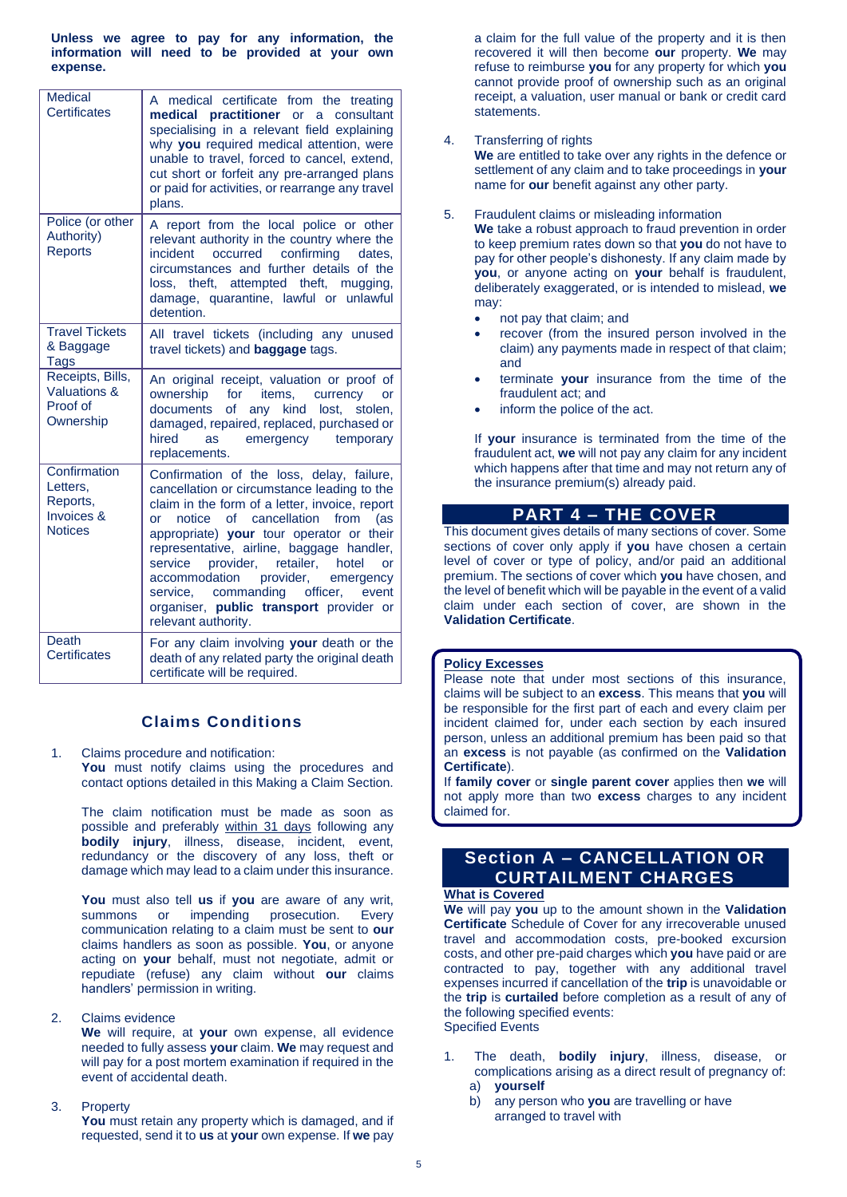**Unless we agree to pay for any information, the information will need to be provided at your own expense.**

| <b>Medical</b><br><b>Certificates</b>                                           | A medical certificate from the treating<br><b>practitioner</b> or a<br>consultant<br>medical<br>specialising in a relevant field explaining<br>why you required medical attention, were<br>unable to travel, forced to cancel, extend,<br>cut short or forfeit any pre-arranged plans<br>or paid for activities, or rearrange any travel<br>plans.                                                                                                                                                         |
|---------------------------------------------------------------------------------|------------------------------------------------------------------------------------------------------------------------------------------------------------------------------------------------------------------------------------------------------------------------------------------------------------------------------------------------------------------------------------------------------------------------------------------------------------------------------------------------------------|
| Police (or other<br>Authority)<br><b>Reports</b>                                | A report from the local police or other<br>relevant authority in the country where the<br>incident occurred<br>confirming<br>dates,<br>circumstances and further details of the<br>theft, attempted theft,<br>mugging,<br>loss,<br>damage, quarantine, lawful or unlawful<br>detention.                                                                                                                                                                                                                    |
| <b>Travel Tickets</b><br>& Baggage<br>Tags                                      | All travel tickets (including any unused<br>travel tickets) and <b>baggage</b> tags.                                                                                                                                                                                                                                                                                                                                                                                                                       |
| Receipts, Bills,<br>Valuations &<br>Proof of<br>Ownership                       | An original receipt, valuation or proof of<br>ownership<br>for<br>items,<br>currency<br>or<br>any kind<br>lost,<br>documents<br><b>of</b><br>stolen,<br>damaged, repaired, replaced, purchased or<br>hired<br>emergency temporary<br>as<br>replacements.                                                                                                                                                                                                                                                   |
| Confirmation<br>Letters,<br>Reports,<br><b>Invoices &amp;</b><br><b>Notices</b> | Confirmation of the loss, delay, failure,<br>cancellation or circumstance leading to the<br>claim in the form of a letter, invoice, report<br>notice<br>of cancellation<br>from<br>(as<br>or<br>appropriate) your tour operator or their<br>representative, airline, baggage handler,<br>provider,<br>retailer,<br>hotel<br>service<br>$\alpha$ r<br>accommodation<br>provider,<br>emergency<br>commanding officer,<br>service.<br>event<br>organiser, public transport provider or<br>relevant authority. |
| Death<br><b>Certificates</b>                                                    | For any claim involving your death or the<br>death of any related party the original death<br>certificate will be required.                                                                                                                                                                                                                                                                                                                                                                                |

# **Claims Conditions**

1. Claims procedure and notification: You must notify claims using the procedures and contact options detailed in this Making a Claim Section.

The claim notification must be made as soon as possible and preferably within 31 days following any **bodily injury**, illness, disease, incident, event, redundancy or the discovery of any loss, theft or damage which may lead to a claim under this insurance.

**You** must also tell **us** if **you** are aware of any writ, summons or impending prosecution. Every communication relating to a claim must be sent to **our**  claims handlers as soon as possible. **You**, or anyone acting on **your** behalf, must not negotiate, admit or repudiate (refuse) any claim without **our** claims handlers' permission in writing.

# 2. Claims evidence

**We** will require, at **your** own expense, all evidence needed to fully assess **your** claim. **We** may request and will pay for a post mortem examination if required in the event of accidental death.

3. Property

**You** must retain any property which is damaged, and if requested, send it to **us** at **your** own expense. If **we** pay a claim for the full value of the property and it is then recovered it will then become **our** property. **We** may refuse to reimburse **you** for any property for which **you**  cannot provide proof of ownership such as an original receipt, a valuation, user manual or bank or credit card statements.

4. Transferring of rights

**We** are entitled to take over any rights in the defence or settlement of any claim and to take proceedings in **your**  name for **our** benefit against any other party.

5. Fraudulent claims or misleading information

**We** take a robust approach to fraud prevention in order to keep premium rates down so that **you** do not have to pay for other people's dishonesty. If any claim made by **you**, or anyone acting on **your** behalf is fraudulent, deliberately exaggerated, or is intended to mislead, **we** may:

- not pay that claim; and
- recover (from the insured person involved in the claim) any payments made in respect of that claim; and
- terminate **your** insurance from the time of the fraudulent act; and
- inform the police of the act.

If **your** insurance is terminated from the time of the fraudulent act, **we** will not pay any claim for any incident which happens after that time and may not return any of the insurance premium(s) already paid.

# **PART 4 – THE COVER**

This document gives details of many sections of cover. Some sections of cover only apply if **you** have chosen a certain level of cover or type of policy, and/or paid an additional premium. The sections of cover which **you** have chosen, and the level of benefit which will be payable in the event of a valid claim under each section of cover, are shown in the **Validation Certificate**.

# **Policy Excesses**

Please note that under most sections of this insurance, claims will be subject to an **excess**. This means that **you** will be responsible for the first part of each and every claim per incident claimed for, under each section by each insured person, unless an additional premium has been paid so that an **excess** is not payable (as confirmed on the **Validation Certificate**).

If **family cover** or **single parent cover** applies then **we** will not apply more than two **excess** charges to any incident claimed for.

# **Section A – CANCELLATION OR CURTAILMENT CHARGES**

# **What is Covered**

**We** will pay **you** up to the amount shown in the **Validation Certificate** Schedule of Cover for any irrecoverable unused travel and accommodation costs, pre-booked excursion costs, and other pre-paid charges which **you** have paid or are contracted to pay, together with any additional travel expenses incurred if cancellation of the **trip** is unavoidable or the **trip** is **curtailed** before completion as a result of any of the following specified events: Specified Events

- 1. The death, **bodily injury**, illness, disease, or complications arising as a direct result of pregnancy of: a) **yourself**
	- b) any person who **you** are travelling or have arranged to travel with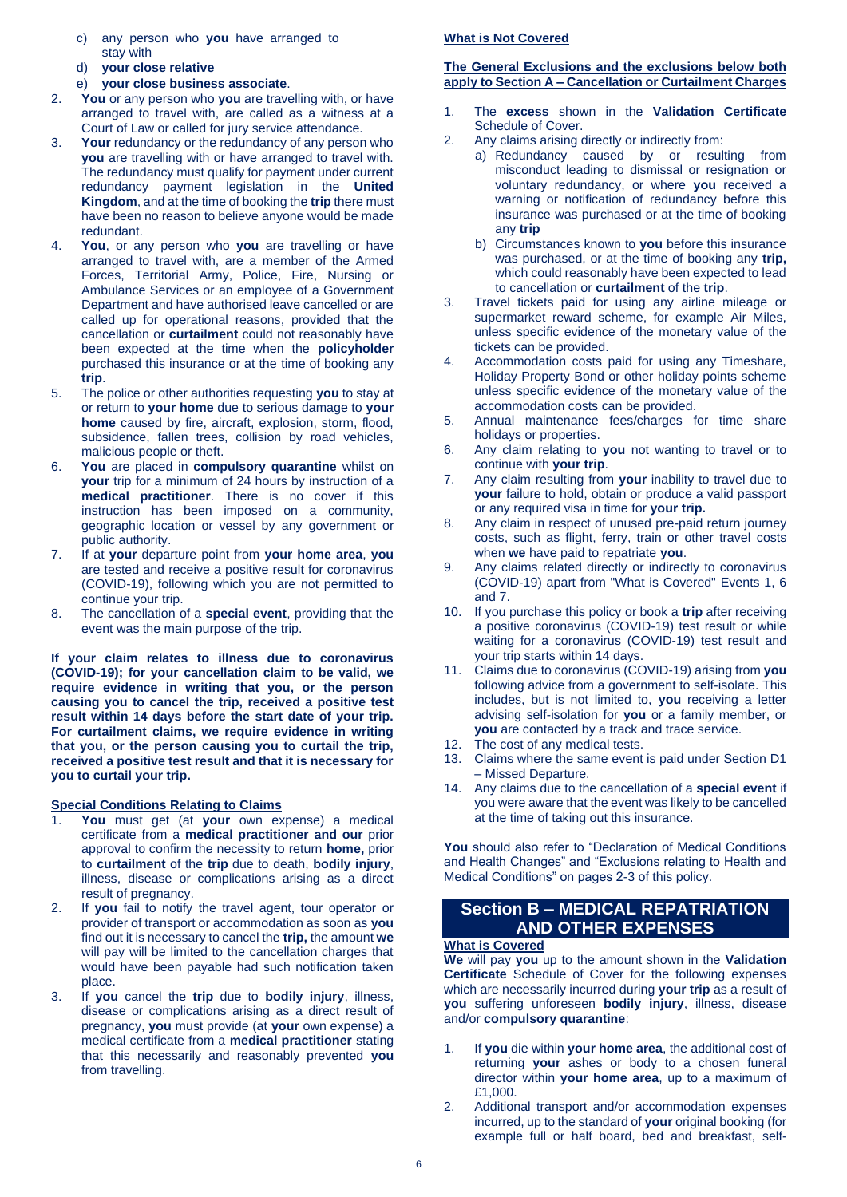- c) any person who **you** have arranged to stay with
- d) **your close relative**
- e) **your close business associate**.
- 2. **You** or any person who **you** are travelling with, or have arranged to travel with, are called as a witness at a Court of Law or called for jury service attendance.
- 3. **Your** redundancy or the redundancy of any person who **you** are travelling with or have arranged to travel with. The redundancy must qualify for payment under current redundancy payment legislation in the **United Kingdom**, and at the time of booking the **trip** there must have been no reason to believe anyone would be made redundant.
- 4. **You**, or any person who **you** are travelling or have arranged to travel with, are a member of the Armed Forces, Territorial Army, Police, Fire, Nursing or Ambulance Services or an employee of a Government Department and have authorised leave cancelled or are called up for operational reasons, provided that the cancellation or **curtailment** could not reasonably have been expected at the time when the **policyholder** purchased this insurance or at the time of booking any **trip**.
- 5. The police or other authorities requesting **you** to stay at or return to **your home** due to serious damage to **your home** caused by fire, aircraft, explosion, storm, flood, subsidence, fallen trees, collision by road vehicles, malicious people or theft.
- 6. **You** are placed in **compulsory quarantine** whilst on **your** trip for a minimum of 24 hours by instruction of a **medical practitioner**. There is no cover if this instruction has been imposed on a community, geographic location or vessel by any government or public authority.
- 7. If at **your** departure point from **your home area**, **you** are tested and receive a positive result for coronavirus (COVID-19), following which you are not permitted to continue your trip.
- 8. The cancellation of a **special event**, providing that the event was the main purpose of the trip.

**If your claim relates to illness due to coronavirus (COVID-19); for your cancellation claim to be valid, we require evidence in writing that you, or the person causing you to cancel the trip, received a positive test result within 14 days before the start date of your trip. For curtailment claims, we require evidence in writing that you, or the person causing you to curtail the trip, received a positive test result and that it is necessary for you to curtail your trip.**

# **Special Conditions Relating to Claims**

- 1. **You** must get (at **your** own expense) a medical certificate from a **medical practitioner and our** prior approval to confirm the necessity to return **home,** prior to **curtailment** of the **trip** due to death, **bodily injury**, illness, disease or complications arising as a direct result of pregnancy.
- 2. If **you** fail to notify the travel agent, tour operator or provider of transport or accommodation as soon as **you**  find out it is necessary to cancel the **trip,** the amount **we**  will pay will be limited to the cancellation charges that would have been payable had such notification taken place.
- 3. If **you** cancel the **trip** due to **bodily injury**, illness, disease or complications arising as a direct result of pregnancy, **you** must provide (at **your** own expense) a medical certificate from a **medical practitioner** stating that this necessarily and reasonably prevented **you**  from travelling.

### **What is Not Covered**

# **The General Exclusions and the exclusions below both apply to Section A – Cancellation or Curtailment Charges**

- 1. The **excess** shown in the **Validation Certificate**  Schedule of Cover.
- 2. Any claims arising directly or indirectly from:
	- a) Redundancy caused by or resulting from misconduct leading to dismissal or resignation or voluntary redundancy, or where **you** received a warning or notification of redundancy before this insurance was purchased or at the time of booking any **trip**
		- b) Circumstances known to **you** before this insurance was purchased, or at the time of booking any **trip,** which could reasonably have been expected to lead to cancellation or **curtailment** of the **trip**.
- 3. Travel tickets paid for using any airline mileage or supermarket reward scheme, for example Air Miles, unless specific evidence of the monetary value of the tickets can be provided.
- 4. Accommodation costs paid for using any Timeshare, Holiday Property Bond or other holiday points scheme unless specific evidence of the monetary value of the accommodation costs can be provided.
- 5. Annual maintenance fees/charges for time share holidays or properties.
- 6. Any claim relating to **you** not wanting to travel or to continue with **your trip**.
- 7. Any claim resulting from **your** inability to travel due to **your** failure to hold, obtain or produce a valid passport or any required visa in time for **your trip.**
- 8. Any claim in respect of unused pre-paid return journey costs, such as flight, ferry, train or other travel costs when **we** have paid to repatriate **you**.
- 9. Any claims related directly or indirectly to coronavirus (COVID-19) apart from "What is Covered" Events 1, 6 and 7.
- 10. If you purchase this policy or book a **trip** after receiving a positive coronavirus (COVID-19) test result or while waiting for a coronavirus (COVID-19) test result and your trip starts within 14 days.
- 11. Claims due to coronavirus (COVID-19) arising from **you** following advice from a government to self-isolate. This includes, but is not limited to, **you** receiving a letter advising self-isolation for **you** or a family member, or **you** are contacted by a track and trace service.
- 12. The cost of any medical tests.
- 13. Claims where the same event is paid under Section D1 – Missed Departure.
- 14. Any claims due to the cancellation of a **special event** if you were aware that the event was likely to be cancelled at the time of taking out this insurance.

**You** should also refer to "Declaration of Medical Conditions and Health Changes" and "Exclusions relating to Health and Medical Conditions" on pages 2-3 of this policy.

# **Section B – MEDICAL REPATRIATION AND OTHER EXPENSES**

# **What is Covered**

**We** will pay **you** up to the amount shown in the **Validation Certificate** Schedule of Cover for the following expenses which are necessarily incurred during **your trip** as a result of **you** suffering unforeseen **bodily injury**, illness, disease and/or **compulsory quarantine**:

- 1. If **you** die within **your home area**, the additional cost of returning **your** ashes or body to a chosen funeral director within **your home area**, up to a maximum of £1,000.
- 2. Additional transport and/or accommodation expenses incurred, up to the standard of **your** original booking (for example full or half board, bed and breakfast, self-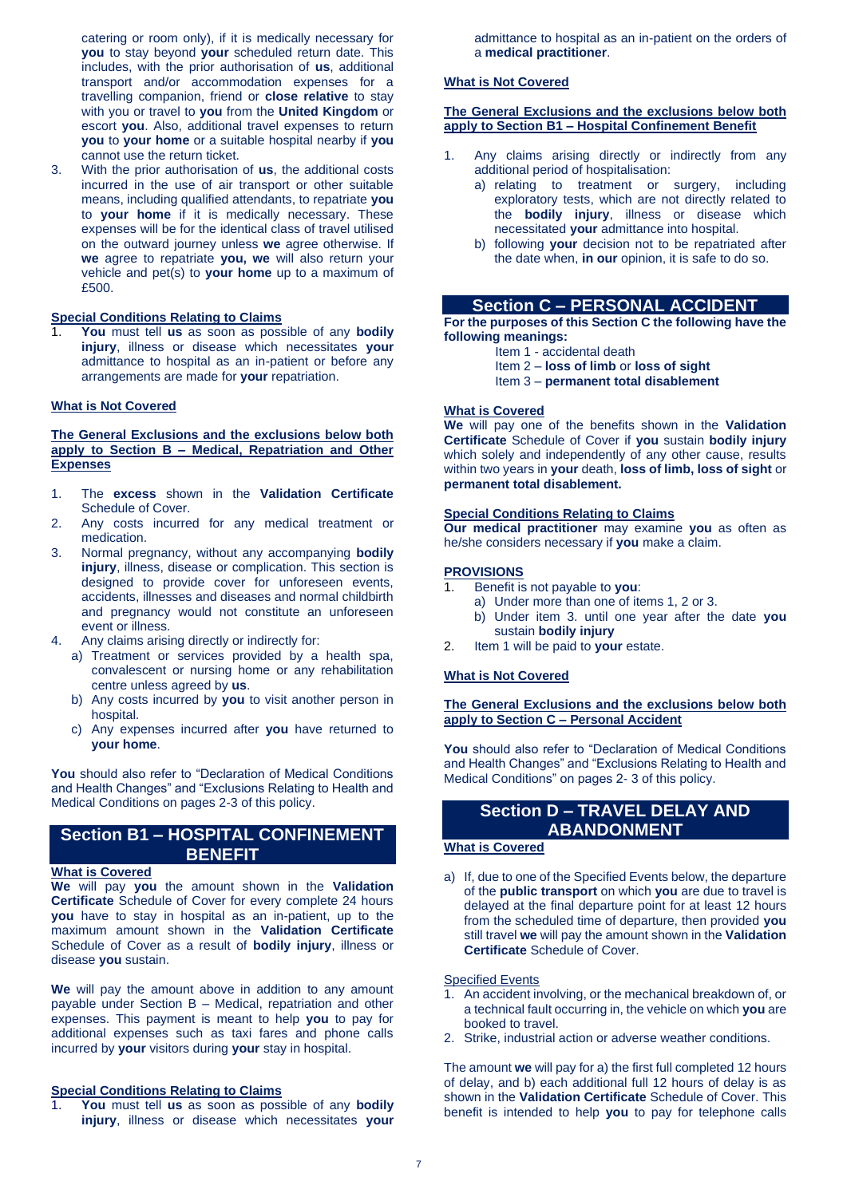catering or room only), if it is medically necessary for **you** to stay beyond **your** scheduled return date. This includes, with the prior authorisation of **us**, additional transport and/or accommodation expenses for a travelling companion, friend or **close relative** to stay with you or travel to **you** from the **United Kingdom** or escort **you**. Also, additional travel expenses to return **you** to **your home** or a suitable hospital nearby if **you**  cannot use the return ticket.

3. With the prior authorisation of **us**, the additional costs incurred in the use of air transport or other suitable means, including qualified attendants, to repatriate **you** to **your home** if it is medically necessary. These expenses will be for the identical class of travel utilised on the outward journey unless **we** agree otherwise. If **we** agree to repatriate **you, we** will also return your vehicle and pet(s) to **your home** up to a maximum of £500.

### **Special Conditions Relating to Claims**

1. **You** must tell **us** as soon as possible of any **bodily injury**, illness or disease which necessitates **your** admittance to hospital as an in-patient or before any arrangements are made for **your** repatriation.

### **What is Not Covered**

### **The General Exclusions and the exclusions below both apply to Section B – Medical, Repatriation and Other Expenses**

- 1. The **excess** shown in the **Validation Certificate** Schedule of Cover.
- 2. Any costs incurred for any medical treatment or medication.
- 3. Normal pregnancy, without any accompanying **bodily injury**, illness, disease or complication. This section is designed to provide cover for unforeseen events, accidents, illnesses and diseases and normal childbirth and pregnancy would not constitute an unforeseen event or illness.
- 4. Any claims arising directly or indirectly for:
	- a) Treatment or services provided by a health spa, convalescent or nursing home or any rehabilitation centre unless agreed by **us**.
	- b) Any costs incurred by **you** to visit another person in hospital.
	- c) Any expenses incurred after **you** have returned to **your home**.

**You** should also refer to "Declaration of Medical Conditions and Health Changes" and "Exclusions Relating to Health and Medical Conditions on pages 2-3 of this policy.

# **Section B1 – HOSPITAL CONFINEMENT BENEFIT**

# **What is Covered**

**We** will pay **you** the amount shown in the **Validation Certificate** Schedule of Cover for every complete 24 hours **you** have to stay in hospital as an in-patient, up to the maximum amount shown in the **Validation Certificate**  Schedule of Cover as a result of **bodily injury**, illness or disease **you** sustain.

**We** will pay the amount above in addition to any amount payable under Section B – Medical, repatriation and other expenses. This payment is meant to help **you** to pay for additional expenses such as taxi fares and phone calls incurred by **your** visitors during **your** stay in hospital.

# **Special Conditions Relating to Claims**

1. **You** must tell **us** as soon as possible of any **bodily injury**, illness or disease which necessitates **your** admittance to hospital as an in-patient on the orders of a **medical practitioner**.

### **What is Not Covered**

### **The General Exclusions and the exclusions below both apply to Section B1 – Hospital Confinement Benefit**

- Any claims arising directly or indirectly from any additional period of hospitalisation:
	- a) relating to treatment or surgery, including exploratory tests, which are not directly related to the **bodily injury**, illness or disease which necessitated **your** admittance into hospital.
	- b) following **your** decision not to be repatriated after the date when, **in our** opinion, it is safe to do so.

# **Section C – PERSONAL ACCIDENT**

**For the purposes of this Section C the following have the following meanings:**

- Item 1 accidental death
- Item 2 **loss of limb** or **loss of sight**
- Item 3 **permanent total disablement**

# **What is Covered**

**We** will pay one of the benefits shown in the **Validation Certificate** Schedule of Cover if **you** sustain **bodily injury**  which solely and independently of any other cause, results within two years in **your** death, **loss of limb, loss of sight** or **permanent total disablement.**

#### **Special Conditions Relating to Claims**

**Our medical practitioner** may examine **you** as often as he/she considers necessary if **you** make a claim.

### **PROVISIONS**

- 1. Benefit is not payable to **you**:
- a) Under more than one of items 1, 2 or 3.
- b) Under item 3. until one year after the date **you** sustain **bodily injury**
- 2. Item 1 will be paid to **your** estate.

# **What is Not Covered**

### **The General Exclusions and the exclusions below both apply to Section C – Personal Accident**

**You** should also refer to "Declaration of Medical Conditions and Health Changes" and "Exclusions Relating to Health and Medical Conditions" on pages 2- 3 of this policy.

# **Section D – TRAVEL DELAY AND ABANDONMENT**

# **What is Covered**

a) If, due to one of the Specified Events below, the departure of the **public transport** on which **you** are due to travel is delayed at the final departure point for at least 12 hours from the scheduled time of departure, then provided **you** still travel **we** will pay the amount shown in the **Validation Certificate** Schedule of Cover.

#### Specified Events

- 1. An accident involving, or the mechanical breakdown of, or a technical fault occurring in, the vehicle on which **you** are booked to travel.
- 2. Strike, industrial action or adverse weather conditions.

The amount **we** will pay for a) the first full completed 12 hours of delay, and b) each additional full 12 hours of delay is as shown in the **Validation Certificate** Schedule of Cover. This benefit is intended to help **you** to pay for telephone calls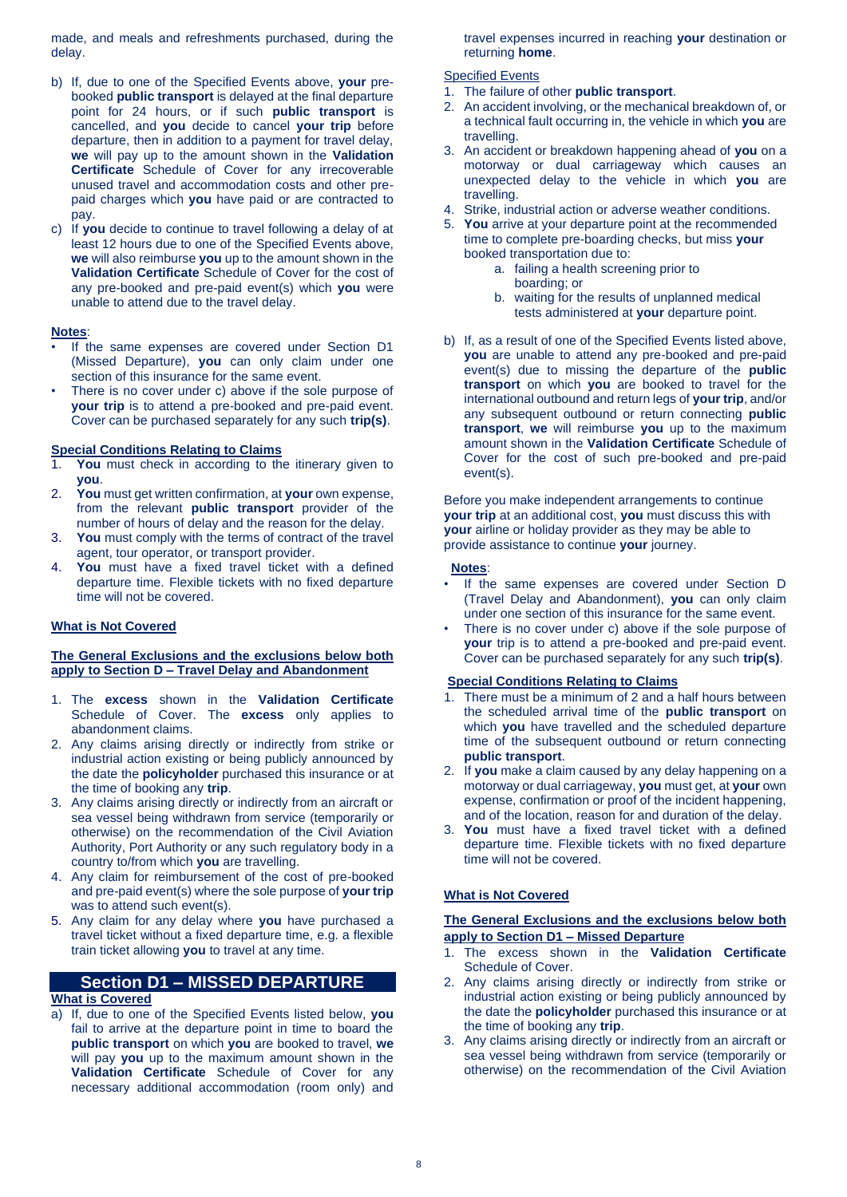made, and meals and refreshments purchased, during the delay.

- b) If, due to one of the Specified Events above, **your** prebooked **public transport** is delayed at the final departure point for 24 hours, or if such **public transport** is cancelled, and **you** decide to cancel **your trip** before departure, then in addition to a payment for travel delay, **we** will pay up to the amount shown in the **Validation Certificate** Schedule of Cover for any irrecoverable unused travel and accommodation costs and other prepaid charges which **you** have paid or are contracted to pay.
- c) If **you** decide to continue to travel following a delay of at least 12 hours due to one of the Specified Events above, **we** will also reimburse **you** up to the amount shown in the **Validation Certificate** Schedule of Cover for the cost of any pre-booked and pre-paid event(s) which **you** were unable to attend due to the travel delay.

### **Notes**:

- If the same expenses are covered under Section D1 (Missed Departure), **you** can only claim under one section of this insurance for the same event.
- There is no cover under c) above if the sole purpose of **your trip** is to attend a pre-booked and pre-paid event. Cover can be purchased separately for any such **trip(s)**.

### **Special Conditions Relating to Claims**

- 1. **You** must check in according to the itinerary given to **you**.
- 2. **You** must get written confirmation, at **your** own expense, from the relevant **public transport** provider of the number of hours of delay and the reason for the delay.
- 3. **You** must comply with the terms of contract of the travel agent, tour operator, or transport provider.
- 4. **You** must have a fixed travel ticket with a defined departure time. Flexible tickets with no fixed departure time will not be covered.

### **What is Not Covered**

#### **The General Exclusions and the exclusions below both apply to Section D – Travel Delay and Abandonment**

- 1. The **excess** shown in the **Validation Certificate** Schedule of Cover. The **excess** only applies to abandonment claims.
- 2. Any claims arising directly or indirectly from strike or industrial action existing or being publicly announced by the date the **policyholder** purchased this insurance or at the time of booking any **trip**.
- 3. Any claims arising directly or indirectly from an aircraft or sea vessel being withdrawn from service (temporarily or otherwise) on the recommendation of the Civil Aviation Authority, Port Authority or any such regulatory body in a country to/from which **you** are travelling.
- 4. Any claim for reimbursement of the cost of pre-booked and pre-paid event(s) where the sole purpose of **your trip** was to attend such event(s).
- 5. Any claim for any delay where **you** have purchased a travel ticket without a fixed departure time, e.g. a flexible train ticket allowing **you** to travel at any time.

# **Section D1 – MISSED DEPARTURE**

#### **What is Covered**

a) If, due to one of the Specified Events listed below, **you**  fail to arrive at the departure point in time to board the **public transport** on which **you** are booked to travel, **we** will pay **you** up to the maximum amount shown in the **Validation Certificate** Schedule of Cover for any necessary additional accommodation (room only) and travel expenses incurred in reaching **your** destination or returning **home**.

# Specified Events

- 1. The failure of other **public transport**.
- 2. An accident involving, or the mechanical breakdown of, or a technical fault occurring in, the vehicle in which **you** are travelling.
- 3. An accident or breakdown happening ahead of **you** on a motorway or dual carriageway which causes an unexpected delay to the vehicle in which **you** are travelling.
- 4. Strike, industrial action or adverse weather conditions.
- 5. **You** arrive at your departure point at the recommended time to complete pre-boarding checks, but miss **your**  booked transportation due to:
	- a. failing a health screening prior to
		- boarding; or
	- b. waiting for the results of unplanned medical tests administered at **your** departure point.
- b) If, as a result of one of the Specified Events listed above, **you** are unable to attend any pre-booked and pre-paid event(s) due to missing the departure of the **public transport** on which **you** are booked to travel for the international outbound and return legs of **your trip**, and/or any subsequent outbound or return connecting **public transport**, **we** will reimburse **you** up to the maximum amount shown in the **Validation Certificate** Schedule of Cover for the cost of such pre-booked and pre-paid event(s).

Before you make independent arrangements to continue **your trip** at an additional cost, **you** must discuss this with **your** airline or holiday provider as they may be able to provide assistance to continue **your** journey.

#### **Notes**:

- If the same expenses are covered under Section D (Travel Delay and Abandonment), **you** can only claim under one section of this insurance for the same event.
- There is no cover under c) above if the sole purpose of **your** trip is to attend a pre-booked and pre-paid event. Cover can be purchased separately for any such **trip(s)**.

### **Special Conditions Relating to Claims**

- 1. There must be a minimum of 2 and a half hours between the scheduled arrival time of the **public transport** on which **you** have travelled and the scheduled departure time of the subsequent outbound or return connecting **public transport**.
- 2. If **you** make a claim caused by any delay happening on a motorway or dual carriageway, **you** must get, at **your** own expense, confirmation or proof of the incident happening, and of the location, reason for and duration of the delay.
- 3. **You** must have a fixed travel ticket with a defined departure time. Flexible tickets with no fixed departure time will not be covered.

# **What is Not Covered**

### **The General Exclusions and the exclusions below both apply to Section D1 – Missed Departure**

- 1. The excess shown in the **Validation Certificate** Schedule of Cover.
- 2. Any claims arising directly or indirectly from strike or industrial action existing or being publicly announced by the date the **policyholder** purchased this insurance or at the time of booking any **trip**.
- 3. Any claims arising directly or indirectly from an aircraft or sea vessel being withdrawn from service (temporarily or otherwise) on the recommendation of the Civil Aviation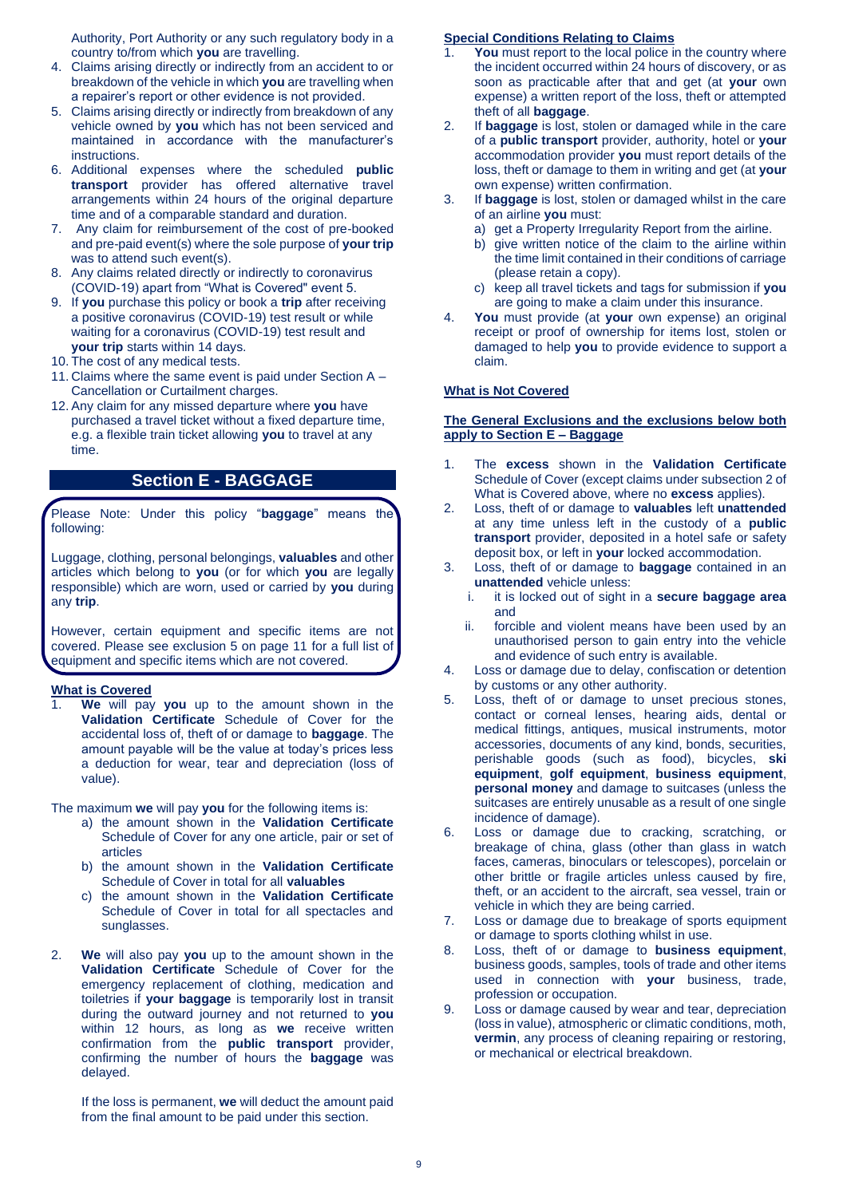Authority, Port Authority or any such regulatory body in a country to/from which **you** are travelling.

- 4. Claims arising directly or indirectly from an accident to or breakdown of the vehicle in which **you** are travelling when a repairer's report or other evidence is not provided.
- 5. Claims arising directly or indirectly from breakdown of any vehicle owned by **you** which has not been serviced and maintained in accordance with the manufacturer's **instructions**
- 6. Additional expenses where the scheduled **public transport** provider has offered alternative travel arrangements within 24 hours of the original departure time and of a comparable standard and duration.
- 7. Any claim for reimbursement of the cost of pre-booked and pre-paid event(s) where the sole purpose of **your trip** was to attend such event(s).
- 8. Any claims related directly or indirectly to coronavirus (COVID-19) apart from "What is Covered" event 5.
- 9. If **you** purchase this policy or book a **trip** after receiving a positive coronavirus (COVID-19) test result or while waiting for a coronavirus (COVID-19) test result and **your trip** starts within 14 days.
- 10. The cost of any medical tests.
- 11. Claims where the same event is paid under Section A Cancellation or Curtailment charges.
- 12. Any claim for any missed departure where **you** have purchased a travel ticket without a fixed departure time, e.g. a flexible train ticket allowing **you** to travel at any time.

# **Section E - BAGGAGE**

Please Note: Under this policy "**baggage**" means the following:

Luggage, clothing, personal belongings, **valuables** and other articles which belong to **you** (or for which **you** are legally responsible) which are worn, used or carried by **you** during any **trip**.

However, certain equipment and specific items are not covered. Please see exclusion 5 on page 11 for a full list of equipment and specific items which are not covered.

# **What is Covered**

1. **We** will pay **you** up to the amount shown in the **Validation Certificate** Schedule of Cover for the accidental loss of, theft of or damage to **baggage**. The amount payable will be the value at today's prices less a deduction for wear, tear and depreciation (loss of value).

The maximum **we** will pay **you** for the following items is:

- a) the amount shown in the **Validation Certificate**  Schedule of Cover for any one article, pair or set of articles
- b) the amount shown in the **Validation Certificate** Schedule of Cover in total for all **valuables**
- c) the amount shown in the **Validation Certificate** Schedule of Cover in total for all spectacles and sunglasses.
- 2. **We** will also pay **you** up to the amount shown in the **Validation Certificate** Schedule of Cover for the emergency replacement of clothing, medication and toiletries if **your baggage** is temporarily lost in transit during the outward journey and not returned to **you**  within 12 hours, as long as **we** receive written confirmation from the **public transport** provider, confirming the number of hours the **baggage** was delayed.

If the loss is permanent, **we** will deduct the amount paid from the final amount to be paid under this section.

### **Special Conditions Relating to Claims**

- **You** must report to the local police in the country where the incident occurred within 24 hours of discovery, or as soon as practicable after that and get (at **your** own expense) a written report of the loss, theft or attempted theft of all **baggage**.
- 2. If **baggage** is lost, stolen or damaged while in the care of a **public transport** provider, authority, hotel or **your**  accommodation provider **you** must report details of the loss, theft or damage to them in writing and get (at **your**  own expense) written confirmation.
- 3. If **baggage** is lost, stolen or damaged whilst in the care of an airline **you** must:
	- a) get a Property Irregularity Report from the airline.
	- b) give written notice of the claim to the airline within the time limit contained in their conditions of carriage (please retain a copy).
	- c) keep all travel tickets and tags for submission if **you** are going to make a claim under this insurance.
- 4. **You** must provide (at **your** own expense) an original receipt or proof of ownership for items lost, stolen or damaged to help **you** to provide evidence to support a claim.

# **What is Not Covered**

### **The General Exclusions and the exclusions below both apply to Section E – Baggage**

- 1. The **excess** shown in the **Validation Certificate** Schedule of Cover (except claims under subsection 2 of What is Covered above, where no **excess** applies).
- 2. Loss, theft of or damage to **valuables** left **unattended** at any time unless left in the custody of a **public transport** provider, deposited in a hotel safe or safety deposit box, or left in **your** locked accommodation.
- 3. Loss, theft of or damage to **baggage** contained in an **unattended** vehicle unless:
	- i. it is locked out of sight in a **secure baggage area**  and
	- ii. forcible and violent means have been used by an unauthorised person to gain entry into the vehicle and evidence of such entry is available.
- 4. Loss or damage due to delay, confiscation or detention by customs or any other authority.
- 5. Loss, theft of or damage to unset precious stones, contact or corneal lenses, hearing aids, dental or medical fittings, antiques, musical instruments, motor accessories, documents of any kind, bonds, securities, perishable goods (such as food), bicycles, **ski equipment**, **golf equipment**, **business equipment**, **personal money** and damage to suitcases (unless the suitcases are entirely unusable as a result of one single incidence of damage).
- 6. Loss or damage due to cracking, scratching, or breakage of china, glass (other than glass in watch faces, cameras, binoculars or telescopes), porcelain or other brittle or fragile articles unless caused by fire, theft, or an accident to the aircraft, sea vessel, train or vehicle in which they are being carried.
- 7. Loss or damage due to breakage of sports equipment or damage to sports clothing whilst in use.
- 8. Loss, theft of or damage to **business equipment**, business goods, samples, tools of trade and other items used in connection with **your** business, trade, profession or occupation.
- 9. Loss or damage caused by wear and tear, depreciation (loss in value), atmospheric or climatic conditions, moth, **vermin**, any process of cleaning repairing or restoring, or mechanical or electrical breakdown.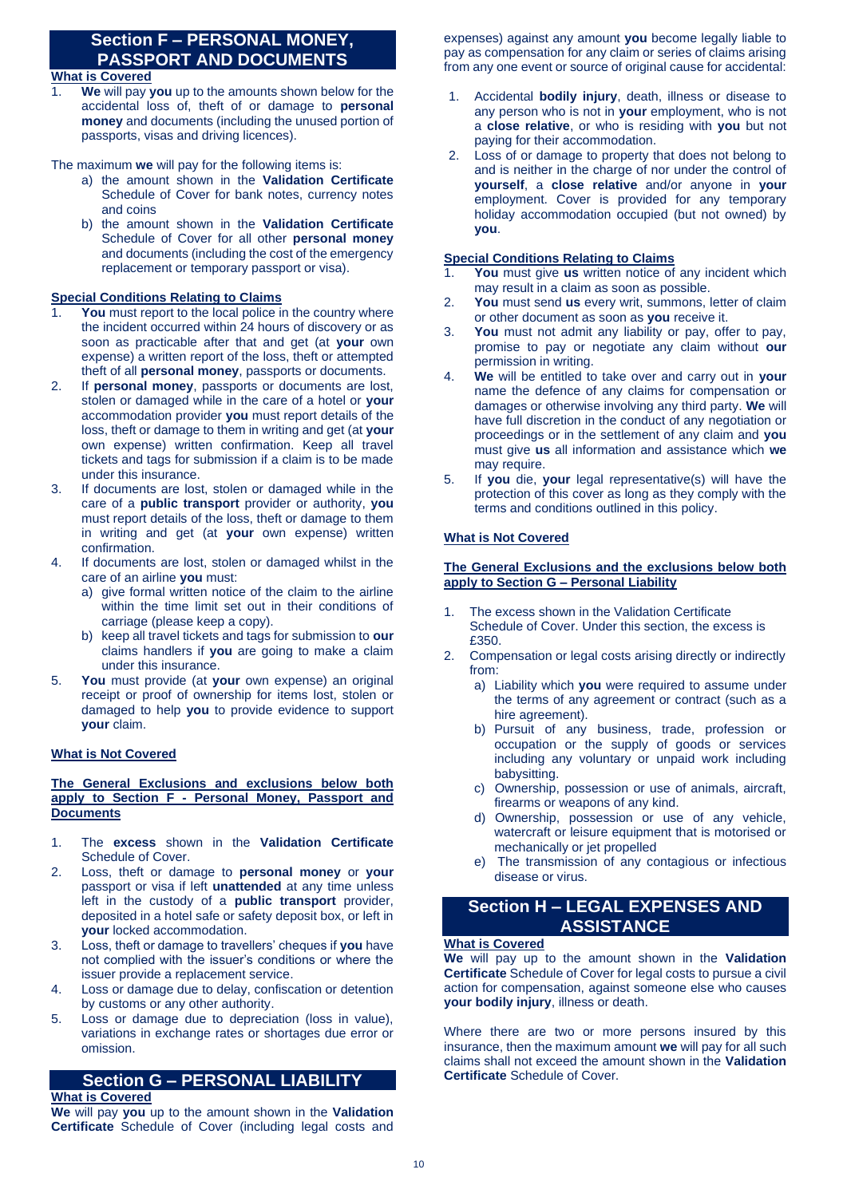# **Section F – PERSONAL MONEY, PASSPORT AND DOCUMENTS**

# **What is Covered**

1. **We** will pay **you** up to the amounts shown below for the accidental loss of, theft of or damage to **personal money** and documents (including the unused portion of passports, visas and driving licences).

The maximum **we** will pay for the following items is:

- a) the amount shown in the **Validation Certificate** Schedule of Cover for bank notes, currency notes and coins
- b) the amount shown in the **Validation Certificate** Schedule of Cover for all other **personal money** and documents (including the cost of the emergency replacement or temporary passport or visa).

# **Special Conditions Relating to Claims**

- **You** must report to the local police in the country where the incident occurred within 24 hours of discovery or as soon as practicable after that and get (at **your** own expense) a written report of the loss, theft or attempted theft of all **personal money**, passports or documents.
- 2. If **personal money**, passports or documents are lost, stolen or damaged while in the care of a hotel or **your**  accommodation provider **you** must report details of the loss, theft or damage to them in writing and get (at **your** own expense) written confirmation. Keep all travel tickets and tags for submission if a claim is to be made under this insurance.
- 3. If documents are lost, stolen or damaged while in the care of a **public transport** provider or authority, **you** must report details of the loss, theft or damage to them in writing and get (at **your** own expense) written confirmation.
- 4. If documents are lost, stolen or damaged whilst in the care of an airline **you** must:
	- a) give formal written notice of the claim to the airline within the time limit set out in their conditions of carriage (please keep a copy).
	- b) keep all travel tickets and tags for submission to **our**  claims handlers if **you** are going to make a claim under this insurance.
- 5. **You** must provide (at **your** own expense) an original receipt or proof of ownership for items lost, stolen or damaged to help **you** to provide evidence to support **your** claim.

# **What is Not Covered**

### **The General Exclusions and exclusions below both apply to Section F - Personal Money, Passport and Documents**

- 1. The **excess** shown in the **Validation Certificate** Schedule of Cover.
- 2. Loss, theft or damage to **personal money** or **your**  passport or visa if left **unattended** at any time unless left in the custody of a **public transport** provider, deposited in a hotel safe or safety deposit box, or left in **your** locked accommodation.
- 3. Loss, theft or damage to travellers' cheques if **you** have not complied with the issuer's conditions or where the issuer provide a replacement service.
- 4. Loss or damage due to delay, confiscation or detention by customs or any other authority.
- 5. Loss or damage due to depreciation (loss in value), variations in exchange rates or shortages due error or omission.

# **Section G – PERSONAL LIABILITY**

# **What is Covered**

**We** will pay **you** up to the amount shown in the **Validation Certificate** Schedule of Cover (including legal costs and expenses) against any amount **you** become legally liable to pay as compensation for any claim or series of claims arising from any one event or source of original cause for accidental:

- 1. Accidental **bodily injury**, death, illness or disease to any person who is not in **your** employment, who is not a **close relative**, or who is residing with **you** but not paying for their accommodation.
- 2. Loss of or damage to property that does not belong to and is neither in the charge of nor under the control of **yourself**, a **close relative** and/or anyone in **your**  employment. Cover is provided for any temporary holiday accommodation occupied (but not owned) by **you**.

# **Special Conditions Relating to Claims**

- You must give us written notice of any incident which may result in a claim as soon as possible.
- 2. **You** must send **us** every writ, summons, letter of claim or other document as soon as **you** receive it.
- 3. **You** must not admit any liability or pay, offer to pay, promise to pay or negotiate any claim without **our**  permission in writing.
- 4. **We** will be entitled to take over and carry out in **your**  name the defence of any claims for compensation or damages or otherwise involving any third party. **We** will have full discretion in the conduct of any negotiation or proceedings or in the settlement of any claim and **you**  must give **us** all information and assistance which **we**  may require.
- 5. If **you** die, **your** legal representative(s) will have the protection of this cover as long as they comply with the terms and conditions outlined in this policy.

# **What is Not Covered**

### **The General Exclusions and the exclusions below both apply to Section G – Personal Liability**

- 1. The excess shown in the Validation Certificate Schedule of Cover. Under this section, the excess is £350.
- 2. Compensation or legal costs arising directly or indirectly from:
	- a) Liability which **you** were required to assume under the terms of any agreement or contract (such as a hire agreement).
	- b) Pursuit of any business, trade, profession or occupation or the supply of goods or services including any voluntary or unpaid work including babysitting.
	- c) Ownership, possession or use of animals, aircraft, firearms or weapons of any kind.
	- d) Ownership, possession or use of any vehicle, watercraft or leisure equipment that is motorised or mechanically or jet propelled
	- e) The transmission of any contagious or infectious disease or virus.

# **Section H – LEGAL EXPENSES AND ASSISTANCE**

# **What is Covered**

**We** will pay up to the amount shown in the **Validation Certificate** Schedule of Cover for legal costs to pursue a civil action for compensation, against someone else who causes **your bodily injury**, illness or death.

Where there are two or more persons insured by this insurance, then the maximum amount **we** will pay for all such claims shall not exceed the amount shown in the **Validation Certificate** Schedule of Cover.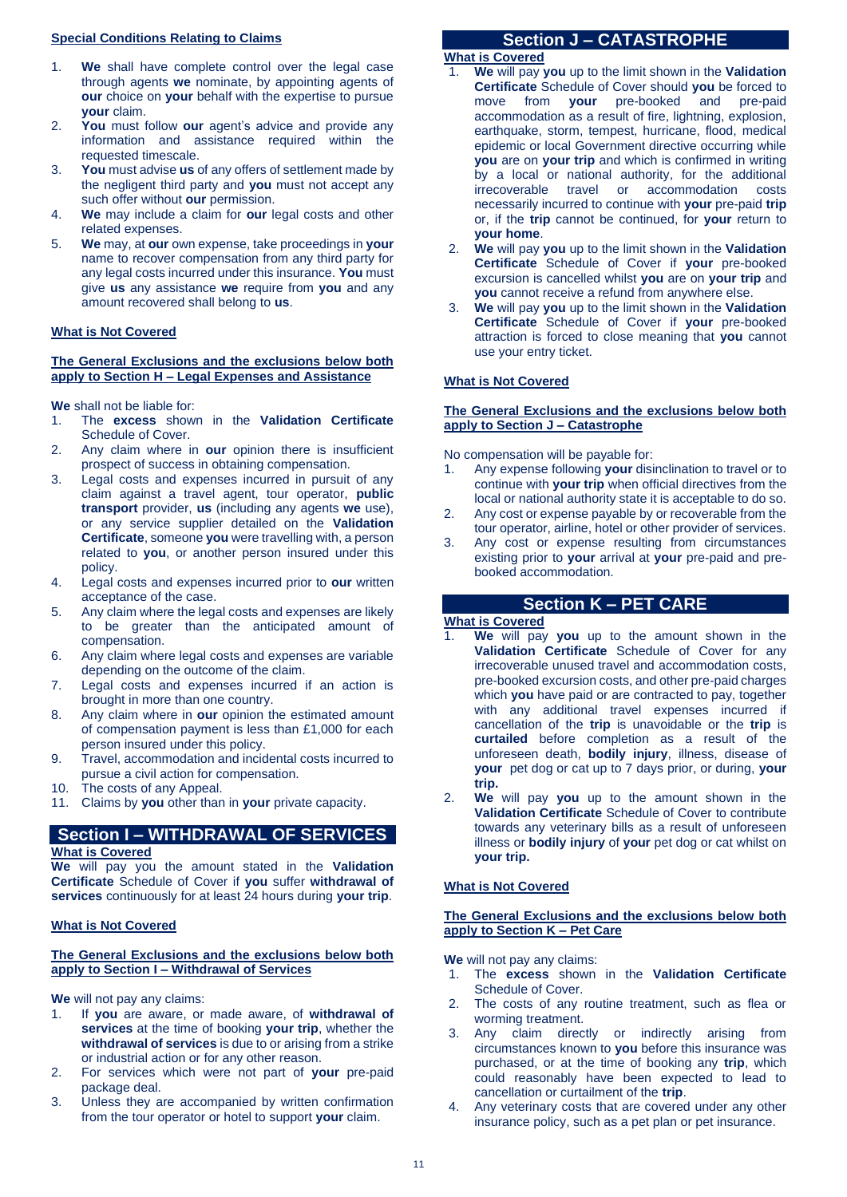## **Special Conditions Relating to Claims**

- 1. **We** shall have complete control over the legal case through agents **we** nominate, by appointing agents of **our** choice on **your** behalf with the expertise to pursue **your** claim.
- 2. **You** must follow **our** agent's advice and provide any information and assistance required within the requested timescale.
- 3. **You** must advise **us** of any offers of settlement made by the negligent third party and **you** must not accept any such offer without **our** permission.
- 4. **We** may include a claim for **our** legal costs and other related expenses.
- 5. **We** may, at **our** own expense, take proceedings in **your**  name to recover compensation from any third party for any legal costs incurred under this insurance. **You** must give **us** any assistance **we** require from **you** and any amount recovered shall belong to **us**.

# **What is Not Covered**

### **The General Exclusions and the exclusions below both apply to Section H – Legal Expenses and Assistance**

**We** shall not be liable for:

- 1. The **excess** shown in the **Validation Certificate** Schedule of Cover.
- 2. Any claim where in **our** opinion there is insufficient prospect of success in obtaining compensation.
- 3. Legal costs and expenses incurred in pursuit of any claim against a travel agent, tour operator, **public transport** provider, **us** (including any agents **we** use), or any service supplier detailed on the **Validation Certificate**, someone **you** were travelling with, a person related to **you**, or another person insured under this policy.
- 4. Legal costs and expenses incurred prior to **our** written acceptance of the case.
- 5. Any claim where the legal costs and expenses are likely to be greater than the anticipated amount of compensation.
- 6. Any claim where legal costs and expenses are variable depending on the outcome of the claim.
- 7. Legal costs and expenses incurred if an action is brought in more than one country.
- 8. Any claim where in **our** opinion the estimated amount of compensation payment is less than £1,000 for each person insured under this policy.
- 9. Travel, accommodation and incidental costs incurred to pursue a civil action for compensation.
- 10. The costs of any Appeal.
- 11. Claims by **you** other than in **your** private capacity.

# **Section I – WITHDRAWAL OF SERVICES**

### **What is Covered**

**We** will pay you the amount stated in the **Validation Certificate** Schedule of Cover if **you** suffer **withdrawal of services** continuously for at least 24 hours during **your trip**.

# **What is Not Covered**

# **The General Exclusions and the exclusions below both apply to Section I – Withdrawal of Services**

**We** will not pay any claims:

- 1. If **you** are aware, or made aware, of **withdrawal of services** at the time of booking **your trip**, whether the **withdrawal of services** is due to or arising from a strike or industrial action or for any other reason.
- 2. For services which were not part of **your** pre-paid package deal.
- 3. Unless they are accompanied by written confirmation from the tour operator or hotel to support **your** claim.

# **Section J – CATASTROPHE**

# **What is Covered**

- 1. **We** will pay **you** up to the limit shown in the **Validation Certificate** Schedule of Cover should **you** be forced to move from **your** pre-booked and pre-paid accommodation as a result of fire, lightning, explosion, earthquake, storm, tempest, hurricane, flood, medical epidemic or local Government directive occurring while **you** are on **your trip** and which is confirmed in writing by a local or national authority, for the additional irrecoverable travel or accommodation costs necessarily incurred to continue with **your** pre-paid **trip** or, if the **trip** cannot be continued, for **your** return to **your home**.
- 2. **We** will pay **you** up to the limit shown in the **Validation Certificate** Schedule of Cover if **your** pre-booked excursion is cancelled whilst **you** are on **your trip** and **you** cannot receive a refund from anywhere else.
- 3. **We** will pay **you** up to the limit shown in the **Validation Certificate** Schedule of Cover if **your** pre-booked attraction is forced to close meaning that **you** cannot use your entry ticket.

# **What is Not Covered**

### **The General Exclusions and the exclusions below both apply to Section J – Catastrophe**

No compensation will be payable for:

- 1. Any expense following **your** disinclination to travel or to continue with **your trip** when official directives from the local or national authority state it is acceptable to do so.
- 2. Any cost or expense payable by or recoverable from the tour operator, airline, hotel or other provider of services.
- 3. Any cost or expense resulting from circumstances existing prior to **your** arrival at **your** pre-paid and prebooked accommodation.

# **Section K – PET CARE**

**What is Covered**

- 1. **We** will pay **you** up to the amount shown in the **Validation Certificate** Schedule of Cover for any irrecoverable unused travel and accommodation costs, pre-booked excursion costs, and other pre-paid charges which **you** have paid or are contracted to pay, together with any additional travel expenses incurred if cancellation of the **trip** is unavoidable or the **trip** is **curtailed** before completion as a result of the unforeseen death, **bodily injury**, illness, disease of **your** pet dog or cat up to 7 days prior, or during, **your trip.**
- 2. **We** will pay **you** up to the amount shown in the **Validation Certificate** Schedule of Cover to contribute towards any veterinary bills as a result of unforeseen illness or **bodily injury** of **your** pet dog or cat whilst on **your trip.**

# **What is Not Covered**

### **The General Exclusions and the exclusions below both apply to Section K – Pet Care**

**We** will not pay any claims:

- 1. The **excess** shown in the **Validation Certificate** Schedule of Cover.
- 2. The costs of any routine treatment, such as flea or worming treatment.
- 3. Any claim directly or indirectly arising from circumstances known to **you** before this insurance was purchased, or at the time of booking any **trip**, which could reasonably have been expected to lead to cancellation or curtailment of the **trip**.
- 4. Any veterinary costs that are covered under any other insurance policy, such as a pet plan or pet insurance.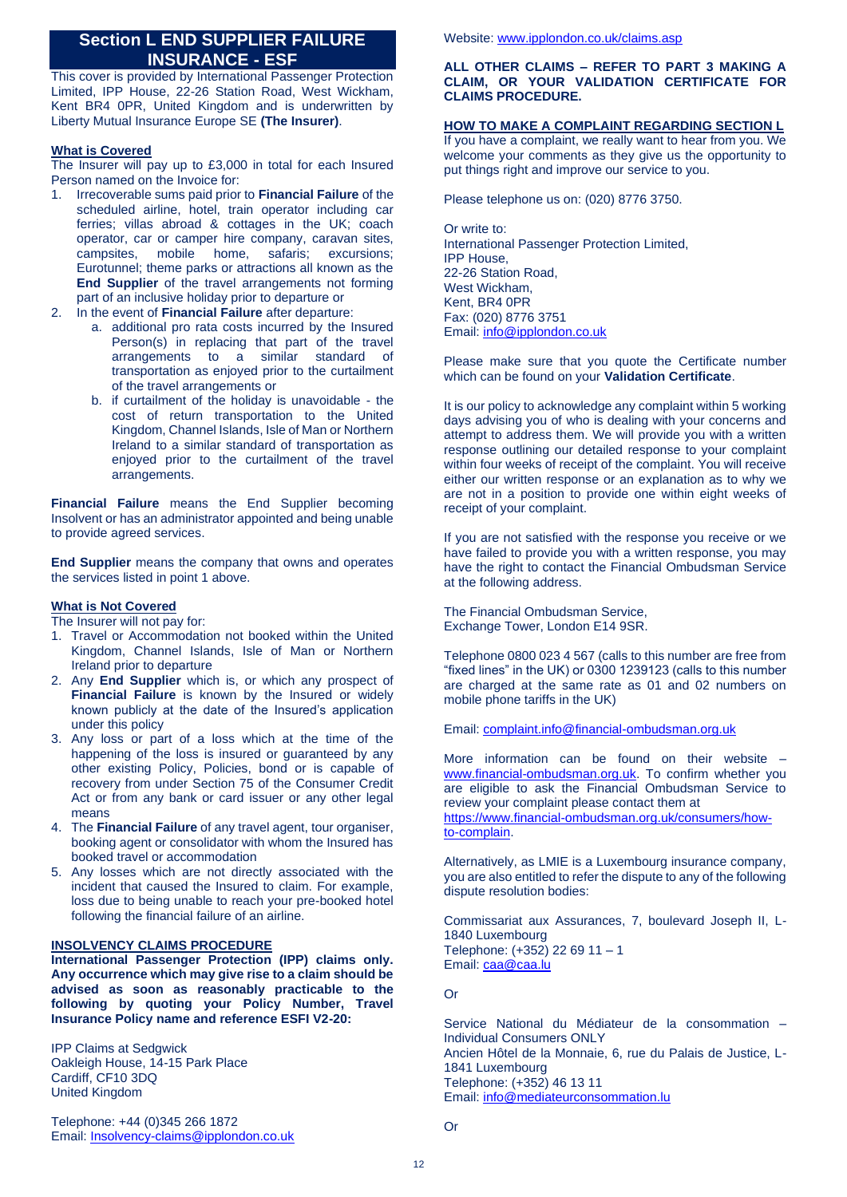# **Section L END SUPPLIER FAILURE INSURANCE - ESF**

This cover is provided by International Passenger Protection Limited, IPP House, 22-26 Station Road, West Wickham, Kent BR4 0PR, United Kingdom and is underwritten by Liberty Mutual Insurance Europe SE **(The Insurer)**.

# **What is Covered**

The Insurer will pay up to £3,000 in total for each Insured Person named on the Invoice for:

- 1. Irrecoverable sums paid prior to **Financial Failure** of the scheduled airline, hotel, train operator including car ferries; villas abroad & cottages in the UK; coach operator, car or camper hire company, caravan sites, campsites, mobile home, safaris; excursions; Eurotunnel; theme parks or attractions all known as the **End Supplier** of the travel arrangements not forming part of an inclusive holiday prior to departure or
- 2. In the event of **Financial Failure** after departure:
	- a. additional pro rata costs incurred by the Insured Person(s) in replacing that part of the travel arrangements to a similar standard of transportation as enjoyed prior to the curtailment of the travel arrangements or
	- b. if curtailment of the holiday is unavoidable the cost of return transportation to the United Kingdom, Channel Islands, Isle of Man or Northern Ireland to a similar standard of transportation as enjoyed prior to the curtailment of the travel arrangements.

**Financial Failure** means the End Supplier becoming Insolvent or has an administrator appointed and being unable to provide agreed services.

**End Supplier** means the company that owns and operates the services listed in point 1 above.

### **What is Not Covered**

The Insurer will not pay for:

- 1. Travel or Accommodation not booked within the United Kingdom, Channel Islands, Isle of Man or Northern Ireland prior to departure
- 2. Any **End Supplier** which is, or which any prospect of **Financial Failure** is known by the Insured or widely known publicly at the date of the Insured's application under this policy
- 3. Any loss or part of a loss which at the time of the happening of the loss is insured or guaranteed by any other existing Policy, Policies, bond or is capable of recovery from under Section 75 of the Consumer Credit Act or from any bank or card issuer or any other legal means
- 4. The **Financial Failure** of any travel agent, tour organiser, booking agent or consolidator with whom the Insured has booked travel or accommodation
- 5. Any losses which are not directly associated with the incident that caused the Insured to claim. For example, loss due to being unable to reach your pre-booked hotel following the financial failure of an airline.

### **INSOLVENCY CLAIMS PROCEDURE**

**International Passenger Protection (IPP) claims only. Any occurrence which may give rise to a claim should be advised as soon as reasonably practicable to the following by quoting your Policy Number, Travel Insurance Policy name and reference ESFI V2-20:**

IPP Claims at Sedgwick Oakleigh House, 14-15 Park Place Cardiff, CF10 3DQ United Kingdom

Telephone: +44 (0)345 266 1872 Email[: Insolvency-claims@ipplondon.co.uk](mailto:Insolvency-claims@ipplondon.co.uk) Website[: www.ipplondon.co.uk/claims.asp](http://www.ipplondon.co.uk/claims.asp)

### **ALL OTHER CLAIMS – REFER TO PART 3 MAKING A CLAIM, OR YOUR VALIDATION CERTIFICATE FOR CLAIMS PROCEDURE.**

### **HOW TO MAKE A COMPLAINT REGARDING SECTION L**

If you have a complaint, we really want to hear from you. We welcome your comments as they give us the opportunity to put things right and improve our service to you.

Please telephone us on: (020) 8776 3750.

Or write to: International Passenger Protection Limited, IPP House, 22-26 Station Road, West Wickham, Kent, BR4 0PR Fax: (020) 8776 3751 Email[: info@ipplondon.co.uk](mailto:info@ipplondon.co.uk)

Please make sure that you quote the Certificate number which can be found on your **Validation Certificate**.

It is our policy to acknowledge any complaint within 5 working days advising you of who is dealing with your concerns and attempt to address them. We will provide you with a written response outlining our detailed response to your complaint within four weeks of receipt of the complaint. You will receive either our written response or an explanation as to why we are not in a position to provide one within eight weeks of receipt of your complaint.

If you are not satisfied with the response you receive or we have failed to provide you with a written response, you may have the right to contact the Financial Ombudsman Service at the following address.

The Financial Ombudsman Service, Exchange Tower, London E14 9SR.

Telephone 0800 023 4 567 (calls to this number are free from "fixed lines" in the UK) or 0300 1239123 (calls to this number are charged at the same rate as 01 and 02 numbers on mobile phone tariffs in the UK)

Email[: complaint.info@financial-ombudsman.org.uk](mailto:complaint.info@financial-ombudsman.org.uk)

More information can be found on their website – [www.financial-ombudsman.org.uk.](http://www.financial-ombudsman.org.uk/) To confirm whether you are eligible to ask the Financial Ombudsman Service to review your complaint please contact them at [https://www.financial-ombudsman.org.uk/consumers/how](https://www.financial-ombudsman.org.uk/consumers/how-to-complain)[to-complain.](https://www.financial-ombudsman.org.uk/consumers/how-to-complain)

Alternatively, as LMIE is a Luxembourg insurance company, you are also entitled to refer the dispute to any of the following dispute resolution bodies:

Commissariat aux Assurances, 7, boulevard Joseph II, L-1840 Luxembourg Telephone: (+352) 22 69 11 – 1 Email[: caa@caa.lu](mailto:caa@caa.lu)

### Or

Service National du Médiateur de la consommation – Individual Consumers ONLY Ancien Hôtel de la Monnaie, 6, rue du Palais de Justice, L-1841 Luxembourg Telephone: (+352) 46 13 11 Email[: info@mediateurconsommation.lu](mailto:info@mediateurconsommation.lu)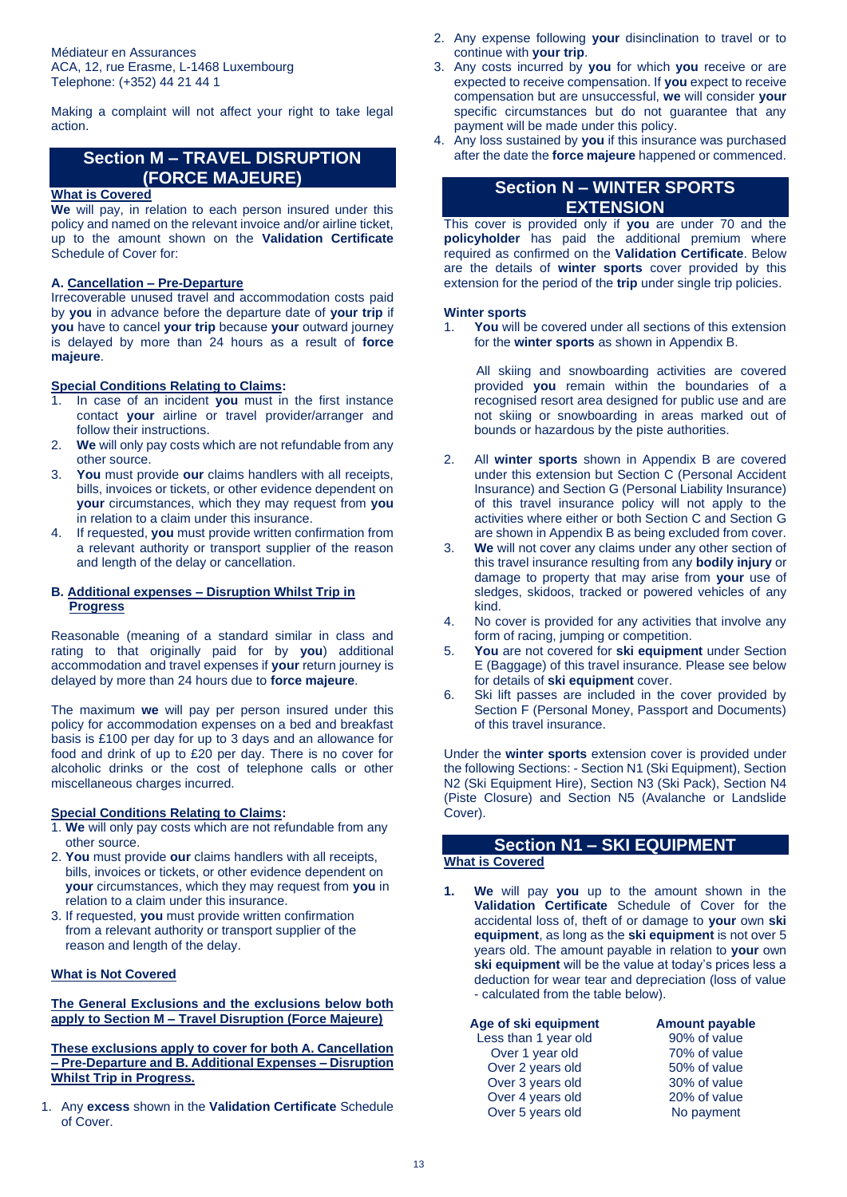Médiateur en Assurances ACA, 12, rue Erasme, L-1468 Luxembourg Telephone: (+352) 44 21 44 1

Making a complaint will not affect your right to take legal action.

# **Section M – TRAVEL DISRUPTION (FORCE MAJEURE)**

## **What is Covered**

**We** will pay, in relation to each person insured under this policy and named on the relevant invoice and/or airline ticket, up to the amount shown on the **Validation Certificate** Schedule of Cover for:

# **A. Cancellation – Pre-Departure**

Irrecoverable unused travel and accommodation costs paid by **you** in advance before the departure date of **your trip** if **you** have to cancel **your trip** because **your** outward journey is delayed by more than 24 hours as a result of **force majeure**.

### **Special Conditions Relating to Claims:**

- 1. In case of an incident **you** must in the first instance contact **your** airline or travel provider/arranger and follow their instructions.
- 2. **We** will only pay costs which are not refundable from any other source.
- 3. **You** must provide **our** claims handlers with all receipts, bills, invoices or tickets, or other evidence dependent on **your** circumstances, which they may request from **you** in relation to a claim under this insurance.
- 4. If requested, **you** must provide written confirmation from a relevant authority or transport supplier of the reason and length of the delay or cancellation.

### **B. Additional expenses – Disruption Whilst Trip in Progress**

Reasonable (meaning of a standard similar in class and rating to that originally paid for by **you**) additional accommodation and travel expenses if **your** return journey is delayed by more than 24 hours due to **force majeure**.

The maximum **we** will pay per person insured under this policy for accommodation expenses on a bed and breakfast basis is £100 per day for up to 3 days and an allowance for food and drink of up to £20 per day. There is no cover for alcoholic drinks or the cost of telephone calls or other miscellaneous charges incurred.

#### **Special Conditions Relating to Claims:**

- 1. **We** will only pay costs which are not refundable from any other source.
- 2. **You** must provide **our** claims handlers with all receipts, bills, invoices or tickets, or other evidence dependent on **your** circumstances, which they may request from **you** in relation to a claim under this insurance.
- 3. If requested, **you** must provide written confirmation from a relevant authority or transport supplier of the reason and length of the delay.

### **What is Not Covered**

**The General Exclusions and the exclusions below both apply to Section M – Travel Disruption (Force Majeure)**

**These exclusions apply to cover for both A. Cancellation – Pre-Departure and B. Additional Expenses – Disruption Whilst Trip in Progress.** 

1. Any **excess** shown in the **Validation Certificate** Schedule of Cover.

- 2. Any expense following **your** disinclination to travel or to continue with **your trip**.
- 3. Any costs incurred by **you** for which **you** receive or are expected to receive compensation. If **you** expect to receive compensation but are unsuccessful, **we** will consider **your** specific circumstances but do not guarantee that any payment will be made under this policy.
- 4. Any loss sustained by **you** if this insurance was purchased after the date the **force majeure** happened or commenced.

# **Section N – WINTER SPORTS EXTENSION**

This cover is provided only if **you** are under 70 and the **policyholder** has paid the additional premium where required as confirmed on the **Validation Certificate**. Below are the details of **winter sports** cover provided by this extension for the period of the **trip** under single trip policies.

### **Winter sports**

You will be covered under all sections of this extension for the **winter sports** as shown in Appendix B.

 All skiing and snowboarding activities are covered provided **you** remain within the boundaries of a recognised resort area designed for public use and are not skiing or snowboarding in areas marked out of bounds or hazardous by the piste authorities.

- 2. All **winter sports** shown in Appendix B are covered under this extension but Section C (Personal Accident Insurance) and Section G (Personal Liability Insurance) of this travel insurance policy will not apply to the activities where either or both Section C and Section G are shown in Appendix B as being excluded from cover.
- 3. **We** will not cover any claims under any other section of this travel insurance resulting from any **bodily injury** or damage to property that may arise from **your** use of sledges, skidoos, tracked or powered vehicles of any kind.
- 4. No cover is provided for any activities that involve any form of racing, jumping or competition.
- 5. **You** are not covered for **ski equipment** under Section E (Baggage) of this travel insurance. Please see below for details of **ski equipment** cover.
- 6. Ski lift passes are included in the cover provided by Section F (Personal Money, Passport and Documents) of this travel insurance.

Under the **winter sports** extension cover is provided under the following Sections: - Section N1 (Ski Equipment), Section N2 (Ski Equipment Hire), Section N3 (Ski Pack), Section N4 (Piste Closure) and Section N5 (Avalanche or Landslide Cover).

# **Section N1 – SKI EQUIPMENT**

# **What is Covered**

**1. We** will pay **you** up to the amount shown in the **Validation Certificate** Schedule of Cover for the accidental loss of, theft of or damage to **your** own **ski equipment**, as long as the **ski equipment** is not over 5 years old. The amount payable in relation to **your** own **ski equipment** will be the value at today's prices less a deduction for wear tear and depreciation (loss of value - calculated from the table below).

| Age of ski equipment | <b>Amount payable</b> |
|----------------------|-----------------------|
| Less than 1 year old | 90% of value          |
| Over 1 year old      | 70% of value          |
| Over 2 years old     | 50% of value          |
| Over 3 years old     | 30% of value          |
| Over 4 years old     | 20% of value          |
| Over 5 years old     | No payment            |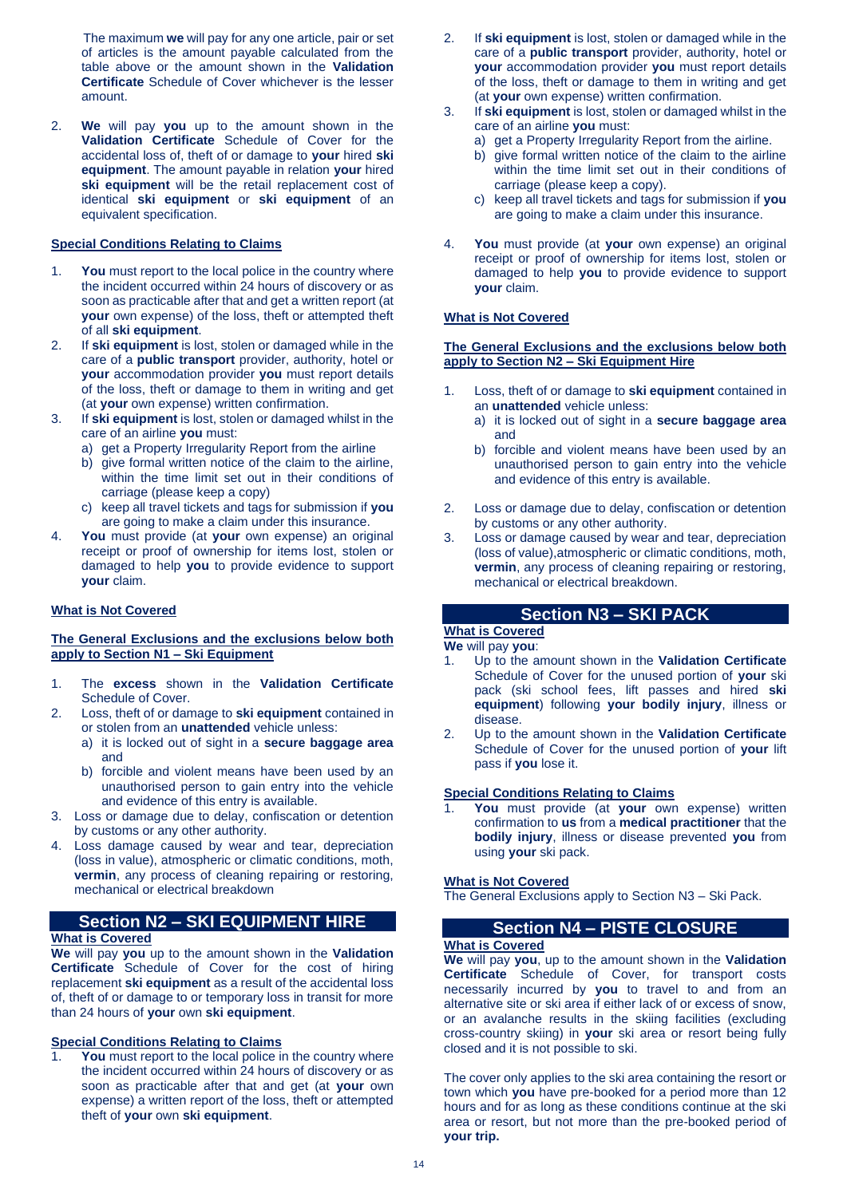The maximum **we** will pay for any one article, pair or set of articles is the amount payable calculated from the table above or the amount shown in the **Validation Certificate** Schedule of Cover whichever is the lesser amount.

2. **We** will pay **you** up to the amount shown in the **Validation Certificate** Schedule of Cover for the accidental loss of, theft of or damage to **your** hired **ski equipment**. The amount payable in relation **your** hired **ski equipment** will be the retail replacement cost of identical **ski equipment** or **ski equipment** of an equivalent specification.

### **Special Conditions Relating to Claims**

- 1. **You** must report to the local police in the country where the incident occurred within 24 hours of discovery or as soon as practicable after that and get a written report (at **your** own expense) of the loss, theft or attempted theft of all **ski equipment**.
- 2. If **ski equipment** is lost, stolen or damaged while in the care of a **public transport** provider, authority, hotel or **your** accommodation provider **you** must report details of the loss, theft or damage to them in writing and get (at **your** own expense) written confirmation.
- 3. If **ski equipment** is lost, stolen or damaged whilst in the care of an airline **you** must:
	- a) get a Property Irregularity Report from the airline
	- b) give formal written notice of the claim to the airline. within the time limit set out in their conditions of carriage (please keep a copy)
	- c) keep all travel tickets and tags for submission if **you**  are going to make a claim under this insurance.
- 4. **You** must provide (at **your** own expense) an original receipt or proof of ownership for items lost, stolen or damaged to help **you** to provide evidence to support **your** claim.

### **What is Not Covered**

### **The General Exclusions and the exclusions below both apply to Section N1 – Ski Equipment**

- 1. The **excess** shown in the **Validation Certificate** Schedule of Cover.
- 2. Loss, theft of or damage to **ski equipment** contained in or stolen from an **unattended** vehicle unless:
	- a) it is locked out of sight in a **secure baggage area**  and
	- b) forcible and violent means have been used by an unauthorised person to gain entry into the vehicle and evidence of this entry is available.
- 3. Loss or damage due to delay, confiscation or detention by customs or any other authority.
- 4. Loss damage caused by wear and tear, depreciation (loss in value), atmospheric or climatic conditions, moth, **vermin**, any process of cleaning repairing or restoring, mechanical or electrical breakdown

# **Section N2 – SKI EQUIPMENT HIRE**

### **What is Covered**

**We** will pay **you** up to the amount shown in the **Validation Certificate** Schedule of Cover for the cost of hiring replacement **ski equipment** as a result of the accidental loss of, theft of or damage to or temporary loss in transit for more than 24 hours of **your** own **ski equipment**.

### **Special Conditions Relating to Claims**

You must report to the local police in the country where the incident occurred within 24 hours of discovery or as soon as practicable after that and get (at **your** own expense) a written report of the loss, theft or attempted theft of **your** own **ski equipment**.

- 2. If **ski equipment** is lost, stolen or damaged while in the care of a **public transport** provider, authority, hotel or **your** accommodation provider **you** must report details of the loss, theft or damage to them in writing and get (at **your** own expense) written confirmation.
- 3. If **ski equipment** is lost, stolen or damaged whilst in the care of an airline **you** must:
	- a) get a Property Irregularity Report from the airline.
	- b) give formal written notice of the claim to the airline within the time limit set out in their conditions of carriage (please keep a copy).
	- c) keep all travel tickets and tags for submission if **you**  are going to make a claim under this insurance.
- 4. **You** must provide (at **your** own expense) an original receipt or proof of ownership for items lost, stolen or damaged to help **you** to provide evidence to support **your** claim.

### **What is Not Covered**

#### **The General Exclusions and the exclusions below both apply to Section N2 – Ski Equipment Hire**

- 1. Loss, theft of or damage to **ski equipment** contained in an **unattended** vehicle unless:
	- a) it is locked out of sight in a **secure baggage area**  and
	- b) forcible and violent means have been used by an unauthorised person to gain entry into the vehicle and evidence of this entry is available.
- 2. Loss or damage due to delay, confiscation or detention by customs or any other authority.
- 3. Loss or damage caused by wear and tear, depreciation (loss of value),atmospheric or climatic conditions, moth, **vermin**, any process of cleaning repairing or restoring, mechanical or electrical breakdown.

# **Section N3 – SKI PACK**

# **What is Covered**

**We** will pay **you**:

- 1. Up to the amount shown in the **Validation Certificate** Schedule of Cover for the unused portion of **your** ski pack (ski school fees, lift passes and hired **ski equipment**) following **your bodily injury**, illness or disease.
- 2. Up to the amount shown in the **Validation Certificate** Schedule of Cover for the unused portion of **your** lift pass if **you** lose it.

#### **Special Conditions Relating to Claims**

You must provide (at your own expense) written confirmation to **us** from a **medical practitioner** that the **bodily injury**, illness or disease prevented **you** from using **your** ski pack.

#### **What is Not Covered**

The General Exclusions apply to Section N3 – Ski Pack.

# **Section N4 – PISTE CLOSURE**

### **What is Covered**

**We** will pay **you**, up to the amount shown in the **Validation Certificate** Schedule of Cover, for transport costs necessarily incurred by **you** to travel to and from an alternative site or ski area if either lack of or excess of snow, or an avalanche results in the skiing facilities (excluding cross-country skiing) in **your** ski area or resort being fully closed and it is not possible to ski.

The cover only applies to the ski area containing the resort or town which **you** have pre-booked for a period more than 12 hours and for as long as these conditions continue at the ski area or resort, but not more than the pre-booked period of **your trip.**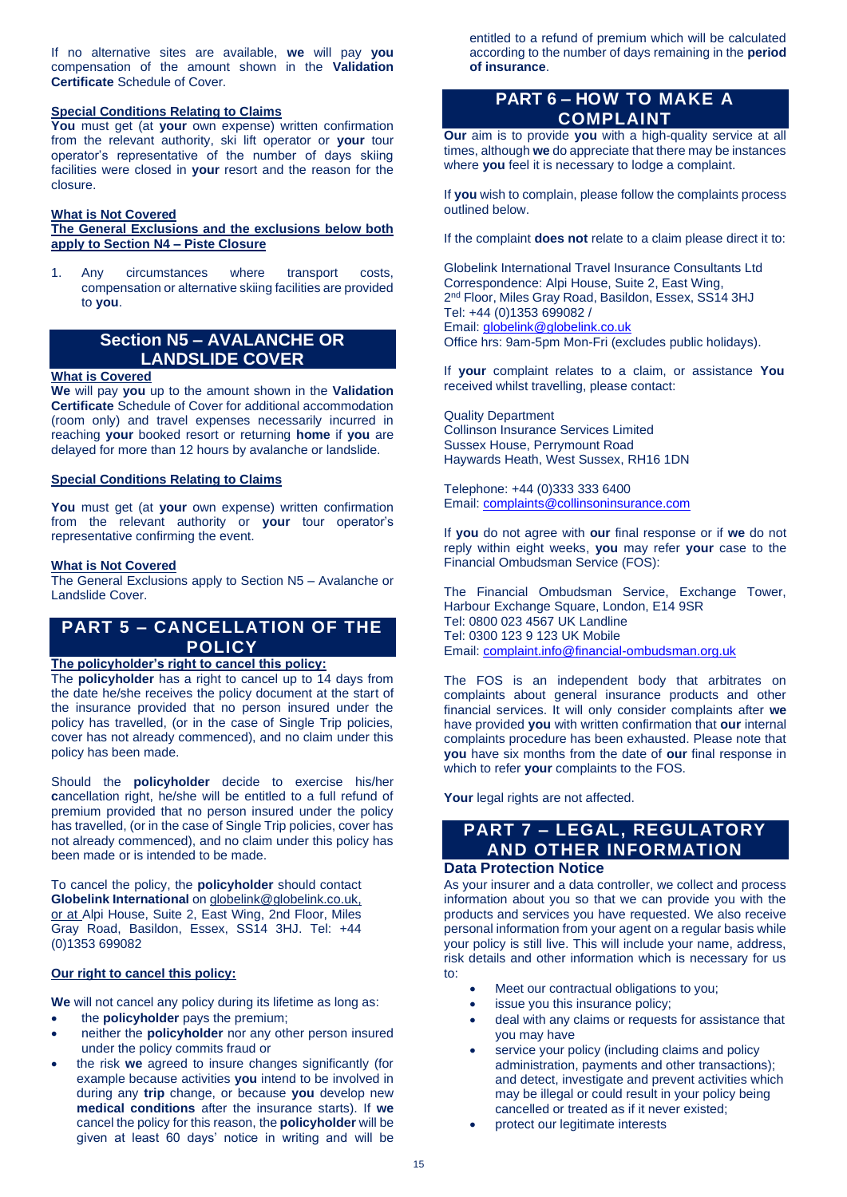If no alternative sites are available, **we** will pay **you**  compensation of the amount shown in the **Validation Certificate** Schedule of Cover.

### **Special Conditions Relating to Claims**

**You** must get (at **your** own expense) written confirmation from the relevant authority, ski lift operator or **your** tour operator's representative of the number of days skiing facilities were closed in **your** resort and the reason for the closure.

### **What is Not Covered**

### **The General Exclusions and the exclusions below both apply to Section N4 – Piste Closure**

1. Any circumstances where transport costs, compensation or alternative skiing facilities are provided to **you**.

# **Section N5 – AVALANCHE OR LANDSLIDE COVER**

#### **What is Covered**

**We** will pay **you** up to the amount shown in the **Validation Certificate** Schedule of Cover for additional accommodation (room only) and travel expenses necessarily incurred in reaching **your** booked resort or returning **home** if **you** are delayed for more than 12 hours by avalanche or landslide.

### **Special Conditions Relating to Claims**

**You** must get (at **your** own expense) written confirmation from the relevant authority or **your** tour operator's representative confirming the event.

### **What is Not Covered**

The General Exclusions apply to Section N5 – Avalanche or Landslide Cover.

# **PART 5 – CANCELLATION OF THE POLICY**

# **The policyholder's right to cancel this policy:**

The **policyholder** has a right to cancel up to 14 days from the date he/she receives the policy document at the start of the insurance provided that no person insured under the policy has travelled, (or in the case of Single Trip policies, cover has not already commenced), and no claim under this policy has been made.

Should the **policyholder** decide to exercise his/her **c**ancellation right, he/she will be entitled to a full refund of premium provided that no person insured under the policy has travelled, (or in the case of Single Trip policies, cover has not already commenced), and no claim under this policy has been made or is intended to be made.

To cancel the policy, the **policyholder** should contact **Globelink International** o[n globelink@globelink.co.uk,](mailto:globelink@globelink.co.uk) or at Alpi House, Suite 2, East Wing, 2nd Floor, Miles Gray Road, Basildon, Essex, SS14 3HJ. Tel: +44 (0)1353 699082

# **Our right to cancel this policy:**

**We** will not cancel any policy during its lifetime as long as:

- the **policyholder** pays the premium;
- neither the **policyholder** nor any other person insured under the policy commits fraud or
- the risk **we** agreed to insure changes significantly (for example because activities **you** intend to be involved in during any **trip** change, or because **you** develop new **medical conditions** after the insurance starts). If **we** cancel the policy for this reason, the **policyholder** will be given at least 60 days' notice in writing and will be

entitled to a refund of premium which will be calculated according to the number of days remaining in the **period of insurance**.

# **PART 6 – HOW TO MAKE A COMPLAINT**

**Our** aim is to provide **you** with a high-quality service at all times, although **we** do appreciate that there may be instances where **you** feel it is necessary to lodge a complaint.

If **you** wish to complain, please follow the complaints process outlined below.

If the complaint **does not** relate to a claim please direct it to:

Globelink International Travel Insurance Consultants Ltd Correspondence: Alpi House, Suite 2, East Wing, 2<sup>nd</sup> Floor, Miles Gray Road, Basildon, Essex, SS14 3HJ Tel: +44 (0)1353 699082 / Email[: globelink@globelink.co.uk](mailto:globelink@globelink.co.uk) Office hrs: 9am-5pm Mon-Fri (excludes public holidays).

If **your** complaint relates to a claim, or assistance **You**  received whilst travelling, please contact:

Quality Department Collinson Insurance Services Limited Sussex House, Perrymount Road Haywards Heath, West Sussex, RH16 1DN

Telephone: +44 (0)333 333 6400 Email[: complaints@collinsoninsurance.com](mailto:complaints@collinsoninsurance.com)

If **you** do not agree with **our** final response or if **we** do not reply within eight weeks, **you** may refer **your** case to the Financial Ombudsman Service (FOS):

The Financial Ombudsman Service, Exchange Tower, Harbour Exchange Square, London, E14 9SR Tel: 0800 023 4567 UK Landline Tel: 0300 123 9 123 UK Mobile Email[: complaint.info@financial-ombudsman.org.uk](mailto:complaint.info@financial-ombudsman.org.uk)

The FOS is an independent body that arbitrates on complaints about general insurance products and other financial services. It will only consider complaints after **we** have provided **you** with written confirmation that **our** internal complaints procedure has been exhausted. Please note that **you** have six months from the date of **our** final response in which to refer **your** complaints to the FOS.

Your legal rights are not affected.

# **PART 7 – LEGAL, REGULATORY AND OTHER INFORMATION**

# **Data Protection Notice**

As your insurer and a data controller, we collect and process information about you so that we can provide you with the products and services you have requested. We also receive personal information from your agent on a regular basis while your policy is still live. This will include your name, address, risk details and other information which is necessary for us to:

- Meet our contractual obligations to you;
- issue you this insurance policy;
- deal with any claims or requests for assistance that you may have
- service your policy (including claims and policy administration, payments and other transactions); and detect, investigate and prevent activities which may be illegal or could result in your policy being cancelled or treated as if it never existed;
- protect our legitimate interests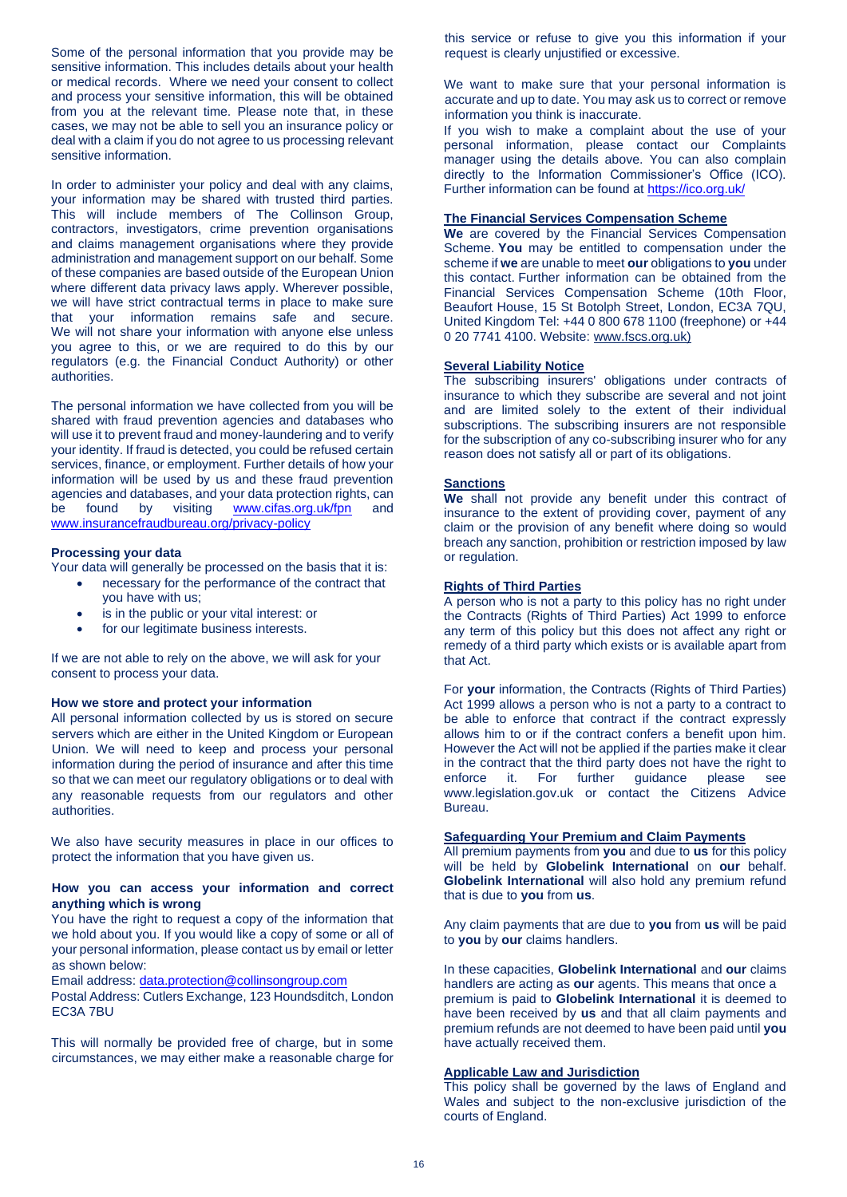Some of the personal information that you provide may be sensitive information. This includes details about your health or medical records. Where we need your consent to collect and process your sensitive information, this will be obtained from you at the relevant time. Please note that, in these cases, we may not be able to sell you an insurance policy or deal with a claim if you do not agree to us processing relevant sensitive information.

In order to administer your policy and deal with any claims, your information may be shared with trusted third parties. This will include members of The Collinson Group, contractors, investigators, crime prevention organisations and claims management organisations where they provide administration and management support on our behalf. Some of these companies are based outside of the European Union where different data privacy laws apply. Wherever possible, we will have strict contractual terms in place to make sure that your information remains safe and secure. We will not share your information with anyone else unless you agree to this, or we are required to do this by our regulators (e.g. the Financial Conduct Authority) or other authorities.

The personal information we have collected from you will be shared with fraud prevention agencies and databases who will use it to prevent fraud and money-laundering and to verify your identity. If fraud is detected, you could be refused certain services, finance, or employment. Further details of how your information will be used by us and these fraud prevention agencies and databases, and your data protection rights, can be found by visiting [www.cifas.org.uk/fpn](http://www.cifas.org.uk/fpn) and [www.insurancefraudbureau.org/privacy-policy](http://www.insurancefraudbureau.org/privacy-policy)

#### **Processing your data**

Your data will generally be processed on the basis that it is:

- necessary for the performance of the contract that you have with us;
- is in the public or your vital interest: or
- for our legitimate business interests.

If we are not able to rely on the above, we will ask for your consent to process your data.

#### **How we store and protect your information**

All personal information collected by us is stored on secure servers which are either in the United Kingdom or European Union. We will need to keep and process your personal information during the period of insurance and after this time so that we can meet our regulatory obligations or to deal with any reasonable requests from our regulators and other authorities.

We also have security measures in place in our offices to protect the information that you have given us.

### **How you can access your information and correct anything which is wrong**

You have the right to request a copy of the information that we hold about you. If you would like a copy of some or all of your personal information, please contact us by email or letter as shown below:

Email address: [data.protection@collinsongroup.com](mailto:data.protection@collinsongroup.com)

Postal Address: Cutlers Exchange, 123 Houndsditch, London EC3A 7BU

This will normally be provided free of charge, but in some circumstances, we may either make a reasonable charge for this service or refuse to give you this information if your request is clearly unjustified or excessive.

We want to make sure that your personal information is accurate and up to date. You may ask us to correct or remove information you think is inaccurate.

If you wish to make a complaint about the use of your personal information, please contact our Complaints manager using the details above. You can also complain directly to the Information Commissioner's Office (ICO). Further information can be found at<https://ico.org.uk/>

#### **The Financial Services Compensation Scheme**

**We** are covered by the Financial Services Compensation Scheme. **You** may be entitled to compensation under the scheme if **we** are unable to meet **our** obligations to **you** under this contact. Further information can be obtained from the Financial Services Compensation Scheme (10th Floor, Beaufort House, 15 St Botolph Street, London, EC3A 7QU, United Kingdom Tel: +44 0 800 678 1100 (freephone) or +44 0 20 7741 4100. Website: [www.fscs.org.uk\)](http://www.fscs.org.uk/)

#### **Several Liability Notice**

The subscribing insurers' obligations under contracts of insurance to which they subscribe are several and not joint and are limited solely to the extent of their individual subscriptions. The subscribing insurers are not responsible for the subscription of any co-subscribing insurer who for any reason does not satisfy all or part of its obligations.

#### **Sanctions**

**We** shall not provide any benefit under this contract of insurance to the extent of providing cover, payment of any claim or the provision of any benefit where doing so would breach any sanction, prohibition or restriction imposed by law or regulation.

### **Rights of Third Parties**

A person who is not a party to this policy has no right under the Contracts (Rights of Third Parties) Act 1999 to enforce any term of this policy but this does not affect any right or remedy of a third party which exists or is available apart from that Act.

For **your** information, the Contracts (Rights of Third Parties) Act 1999 allows a person who is not a party to a contract to be able to enforce that contract if the contract expressly allows him to or if the contract confers a benefit upon him. However the Act will not be applied if the parties make it clear in the contract that the third party does not have the right to enforce it. For further guidance please see www.legislation.gov.uk or contact the Citizens Advice Bureau.

#### **Safeguarding Your Premium and Claim Payments**

All premium payments from **you** and due to **us** for this policy will be held by **Globelink International** on **our** behalf. **Globelink International** will also hold any premium refund that is due to **you** from **us**.

Any claim payments that are due to **you** from **us** will be paid to **you** by **our** claims handlers.

In these capacities, **Globelink International** and **our** claims handlers are acting as **our** agents. This means that once a premium is paid to **Globelink International** it is deemed to have been received by **us** and that all claim payments and premium refunds are not deemed to have been paid until **you** have actually received them.

#### **Applicable Law and Jurisdiction**

This policy shall be governed by the laws of England and Wales and subject to the non-exclusive jurisdiction of the courts of England.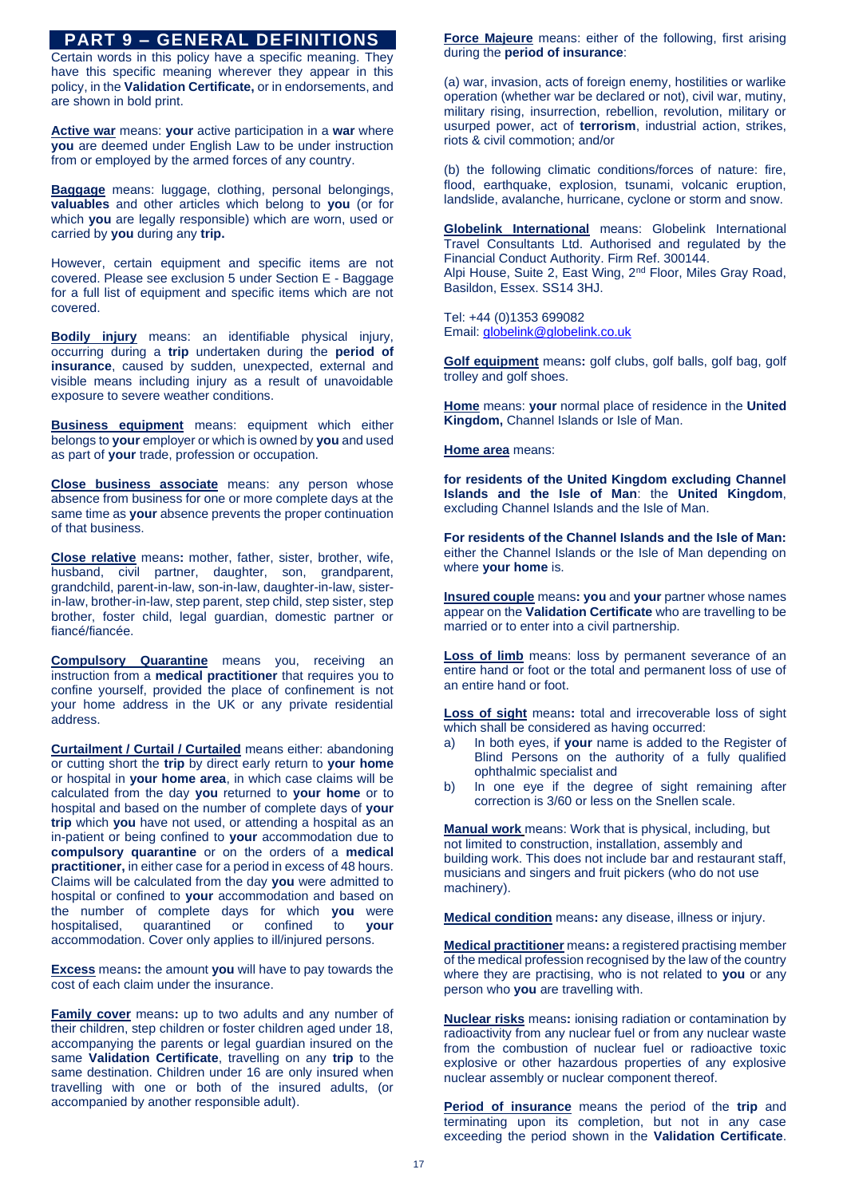# **PART 9 – GENERAL DEFINITIONS**

Certain words in this policy have a specific meaning. They have this specific meaning wherever they appear in this policy, in the **Validation Certificate,** or in endorsements, and are shown in bold print.

**Active war** means: **your** active participation in a **war** where **you** are deemed under English Law to be under instruction from or employed by the armed forces of any country.

**Baggage** means: luggage, clothing, personal belongings, **valuables** and other articles which belong to **you** (or for which **you** are legally responsible) which are worn, used or carried by **you** during any **trip.**

However, certain equipment and specific items are not covered. Please see exclusion 5 under Section E - Baggage for a full list of equipment and specific items which are not covered.

**Bodily injury** means: an identifiable physical injury, occurring during a **trip** undertaken during the **period of insurance**, caused by sudden, unexpected, external and visible means including injury as a result of unavoidable exposure to severe weather conditions.

**Business equipment** means: equipment which either belongs to **your** employer or which is owned by **you** and used as part of **your** trade, profession or occupation.

**Close business associate** means: any person whose absence from business for one or more complete days at the same time as **your** absence prevents the proper continuation of that business.

**Close relative** means**:** mother, father, sister, brother, wife, husband, civil partner, daughter, son, grandparent, grandchild, parent-in-law, son-in-law, daughter-in-law, sisterin-law, brother-in-law, step parent, step child, step sister, step brother, foster child, legal guardian, domestic partner or fiancé/fiancée.

**Compulsory Quarantine** means you, receiving an instruction from a **medical practitioner** that requires you to confine yourself, provided the place of confinement is not your home address in the UK or any private residential address.

**Curtailment / Curtail / Curtailed** means either: abandoning or cutting short the **trip** by direct early return to **your home**  or hospital in **your home area**, in which case claims will be calculated from the day **you** returned to **your home** or to hospital and based on the number of complete days of **your trip** which **you** have not used, or attending a hospital as an in-patient or being confined to **your** accommodation due to **compulsory quarantine** or on the orders of a **medical practitioner,** in either case for a period in excess of 48 hours. Claims will be calculated from the day **you** were admitted to hospital or confined to **your** accommodation and based on the number of complete days for which **you** were hospitalised, quarantined or confined to **your** accommodation. Cover only applies to ill/injured persons.

**Excess** means**:** the amount **you** will have to pay towards the cost of each claim under the insurance.

**Family cover** means**:** up to two adults and any number of their children, step children or foster children aged under 18, accompanying the parents or legal guardian insured on the same **Validation Certificate**, travelling on any **trip** to the same destination. Children under 16 are only insured when travelling with one or both of the insured adults, (or accompanied by another responsible adult).

**Force Majeure** means: either of the following, first arising during the **period of insurance**:

(a) war, invasion, acts of foreign enemy, hostilities or warlike operation (whether war be declared or not), civil war, mutiny, military rising, insurrection, rebellion, revolution, military or usurped power, act of **terrorism**, industrial action, strikes, riots & civil commotion; and/or

(b) the following climatic conditions/forces of nature: fire, flood, earthquake, explosion, tsunami, volcanic eruption, landslide, avalanche, hurricane, cyclone or storm and snow.

**Globelink International** means: Globelink International Travel Consultants Ltd. Authorised and regulated by the Financial Conduct Authority. Firm Ref. 300144. Alpi House, Suite 2, East Wing, 2nd Floor, Miles Gray Road, Basildon, Essex. SS14 3HJ.

Tel: +44 (0)1353 699082 Email[: globelink@globelink.co.uk](mailto:globelink@globelink.co.uk)

**Golf equipment** means**:** golf clubs, golf balls, golf bag, golf trolley and golf shoes.

**Home** means: **your** normal place of residence in the **United Kingdom,** Channel Islands or Isle of Man.

**Home area** means:

**for residents of the United Kingdom excluding Channel Islands and the Isle of Man**: the **United Kingdom**, excluding Channel Islands and the Isle of Man.

**For residents of the Channel Islands and the Isle of Man:**  either the Channel Islands or the Isle of Man depending on where **your home** is.

**Insured couple** means**: you** and **your** partner whose names appear on the **Validation Certificate** who are travelling to be married or to enter into a civil partnership.

**Loss of limb** means: loss by permanent severance of an entire hand or foot or the total and permanent loss of use of an entire hand or foot.

**Loss of sight** means**:** total and irrecoverable loss of sight which shall be considered as having occurred:

- a) In both eyes, if **your** name is added to the Register of Blind Persons on the authority of a fully qualified ophthalmic specialist and
- b) In one eye if the degree of sight remaining after correction is 3/60 or less on the Snellen scale.

**Manual work** means: Work that is physical, including, but not limited to construction, installation, assembly and building work. This does not include bar and restaurant staff, musicians and singers and fruit pickers (who do not use machinery).

**Medical condition** means**:** any disease, illness or injury.

**Medical practitioner** means**:** a registered practising member of the medical profession recognised by the law of the country where they are practising, who is not related to **you** or any person who **you** are travelling with.

**Nuclear risks** means**:** ionising radiation or contamination by radioactivity from any nuclear fuel or from any nuclear waste from the combustion of nuclear fuel or radioactive toxic explosive or other hazardous properties of any explosive nuclear assembly or nuclear component thereof.

**Period of insurance** means the period of the **trip** and terminating upon its completion, but not in any case exceeding the period shown in the **Validation Certificate**.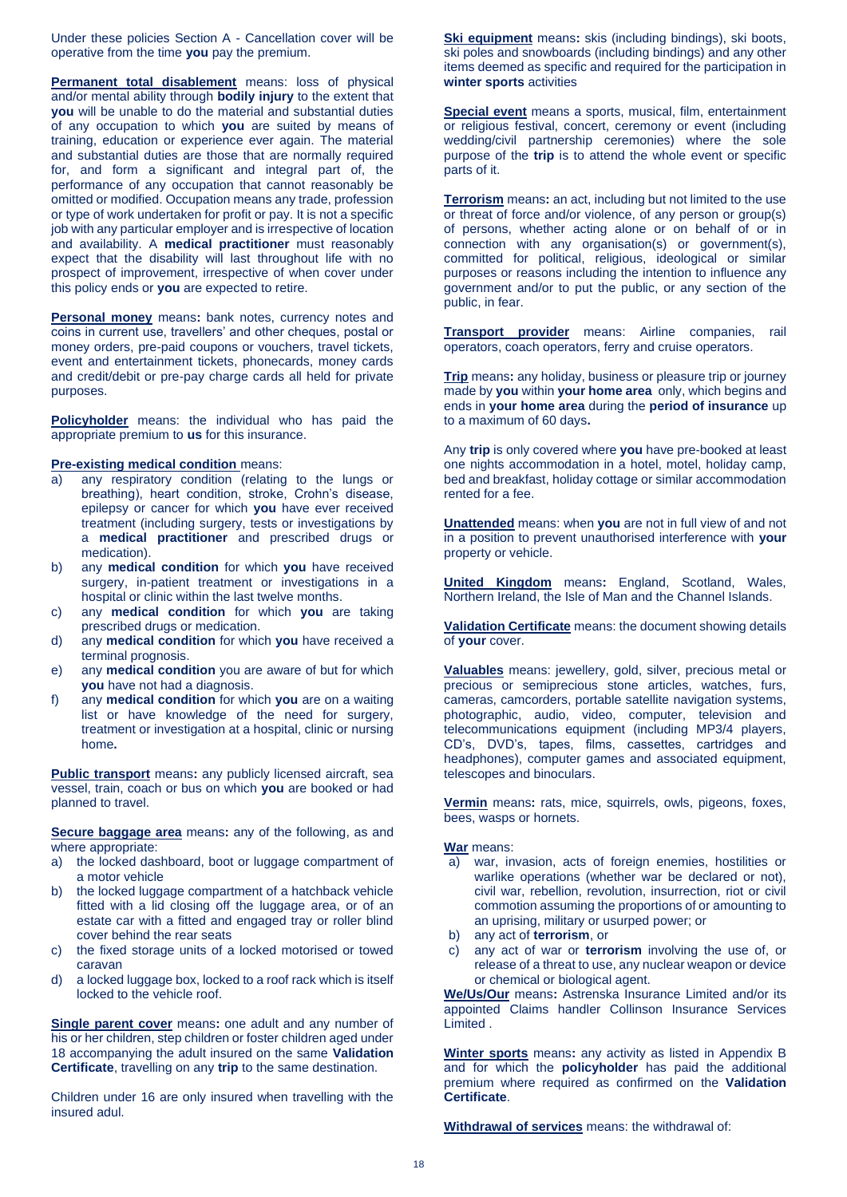Under these policies Section A - Cancellation cover will be operative from the time **you** pay the premium.

**Permanent total disablement** means: loss of physical and/or mental ability through **bodily injury** to the extent that **you** will be unable to do the material and substantial duties of any occupation to which **you** are suited by means of training, education or experience ever again. The material and substantial duties are those that are normally required for, and form a significant and integral part of, the performance of any occupation that cannot reasonably be omitted or modified. Occupation means any trade, profession or type of work undertaken for profit or pay. It is not a specific job with any particular employer and is irrespective of location and availability. A **medical practitioner** must reasonably expect that the disability will last throughout life with no prospect of improvement, irrespective of when cover under this policy ends or **you** are expected to retire.

**Personal money** means**:** bank notes, currency notes and coins in current use, travellers' and other cheques, postal or money orders, pre-paid coupons or vouchers, travel tickets, event and entertainment tickets, phonecards, money cards and credit/debit or pre-pay charge cards all held for private purposes.

**Policyholder** means: the individual who has paid the appropriate premium to **us** for this insurance.

### **Pre-existing medical condition** means:

- a) any respiratory condition (relating to the lungs or breathing), heart condition, stroke, Crohn's disease, epilepsy or cancer for which **you** have ever received treatment (including surgery, tests or investigations by a **medical practitioner** and prescribed drugs or medication).
- b) any **medical condition** for which **you** have received surgery, in-patient treatment or investigations in a hospital or clinic within the last twelve months.
- c) any **medical condition** for which **you** are taking prescribed drugs or medication.
- d) any **medical condition** for which **you** have received a terminal prognosis.
- e) any **medical condition** you are aware of but for which **you** have not had a diagnosis.
- f) any **medical condition** for which **you** are on a waiting list or have knowledge of the need for surgery, treatment or investigation at a hospital, clinic or nursing home**.**

**Public transport** means**:** any publicly licensed aircraft, sea vessel, train, coach or bus on which **you** are booked or had planned to travel.

**Secure baggage area** means**:** any of the following, as and where appropriate:

- a) the locked dashboard, boot or luggage compartment of a motor vehicle
- b) the locked luggage compartment of a hatchback vehicle fitted with a lid closing off the luggage area, or of an estate car with a fitted and engaged tray or roller blind cover behind the rear seats
- c) the fixed storage units of a locked motorised or towed caravan
- d) a locked luggage box, locked to a roof rack which is itself locked to the vehicle roof.

**Single parent cover** means**:** one adult and any number of his or her children, step children or foster children aged under 18 accompanying the adult insured on the same **Validation Certificate**, travelling on any **trip** to the same destination.

Children under 16 are only insured when travelling with the insured adul.

**Ski equipment** means**:** skis (including bindings), ski boots, ski poles and snowboards (including bindings) and any other items deemed as specific and required for the participation in **winter sports** activities

**Special event** means a sports, musical, film, entertainment or religious festival, concert, ceremony or event (including wedding/civil partnership ceremonies) where the sole purpose of the **trip** is to attend the whole event or specific parts of it.

**Terrorism** means**:** an act, including but not limited to the use or threat of force and/or violence, of any person or group(s) of persons, whether acting alone or on behalf of or in connection with any organisation(s) or government(s), committed for political, religious, ideological or similar purposes or reasons including the intention to influence any government and/or to put the public, or any section of the public, in fear.

**Transport provider** means: Airline companies, rail operators, coach operators, ferry and cruise operators.

**Trip** means**:** any holiday, business or pleasure trip or journey made by **you** within **your home area** only, which begins and ends in **your home area** during the **period of insurance** up to a maximum of 60 days**.** 

Any **trip** is only covered where **you** have pre-booked at least one nights accommodation in a hotel, motel, holiday camp, bed and breakfast, holiday cottage or similar accommodation rented for a fee.

**Unattended** means: when **you** are not in full view of and not in a position to prevent unauthorised interference with **your**  property or vehicle.

**United Kingdom** means**:** England, Scotland, Wales, Northern Ireland, the Isle of Man and the Channel Islands.

**Validation Certificate** means: the document showing details of **your** cover.

**Valuables** means: jewellery, gold, silver, precious metal or precious or semiprecious stone articles, watches, furs, cameras, camcorders, portable satellite navigation systems, photographic, audio, video, computer, television and telecommunications equipment (including MP3/4 players, CD's, DVD's, tapes, films, cassettes, cartridges and headphones), computer games and associated equipment, telescopes and binoculars.

**Vermin** means**:** rats, mice, squirrels, owls, pigeons, foxes, bees, wasps or hornets.

**War** means:

- a) war, invasion, acts of foreign enemies, hostilities or warlike operations (whether war be declared or not), civil war, rebellion, revolution, insurrection, riot or civil commotion assuming the proportions of or amounting to an uprising, military or usurped power; or
- b) any act of **terrorism**, or
- c) any act of war or **terrorism** involving the use of, or release of a threat to use, any nuclear weapon or device or chemical or biological agent.

**We/Us/Our** means**:** Astrenska Insurance Limited and/or its appointed Claims handler Collinson Insurance Services Limited .

**Winter sports** means**:** any activity as listed in Appendix B and for which the **policyholder** has paid the additional premium where required as confirmed on the **Validation Certificate**.

**Withdrawal of services** means: the withdrawal of: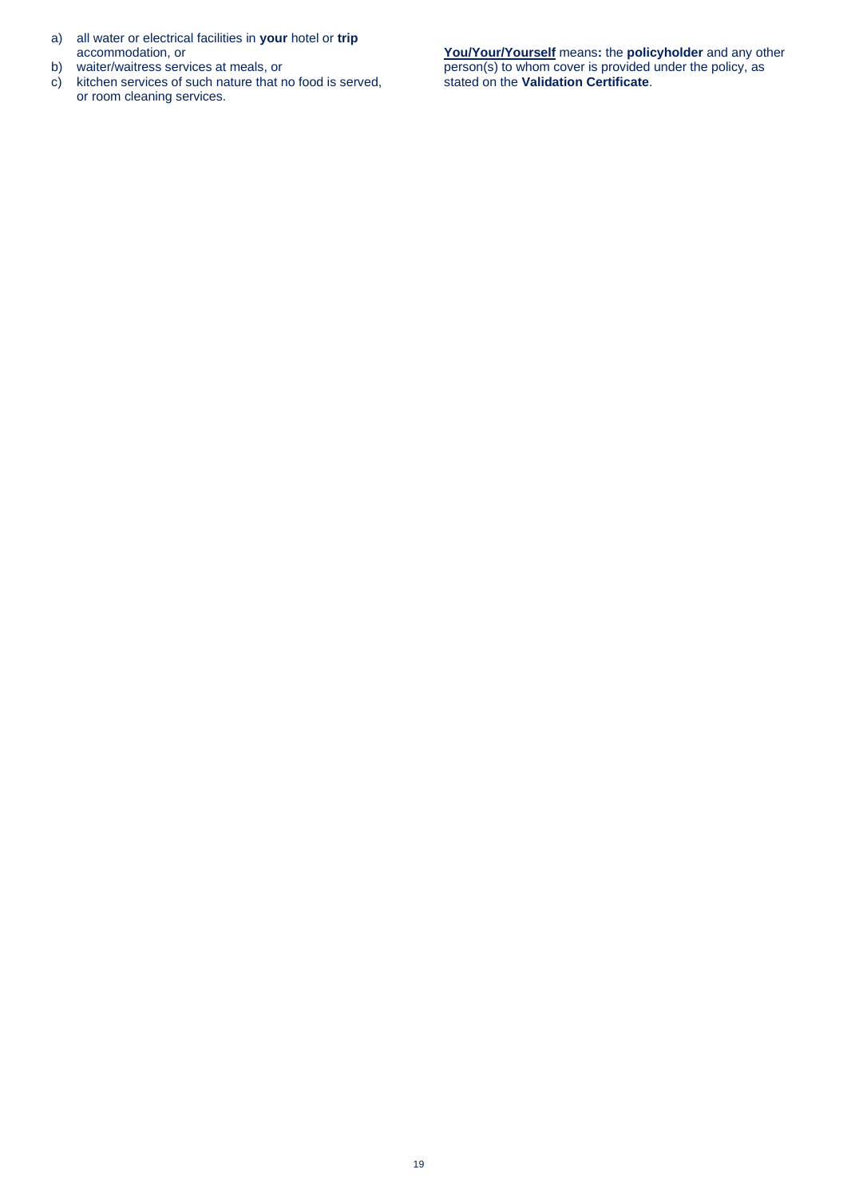- a) all water or electrical facilities in **your** hotel or **trip** accommodation, or
- b) waiter/waitress services at meals, or
- c) kitchen services of such nature that no food is served, or room cleaning services.

**You/Your/Yourself** means**:** the **policyholder** and any other person(s) to whom cover is provided under the policy, as stated on the **Validation Certificate**.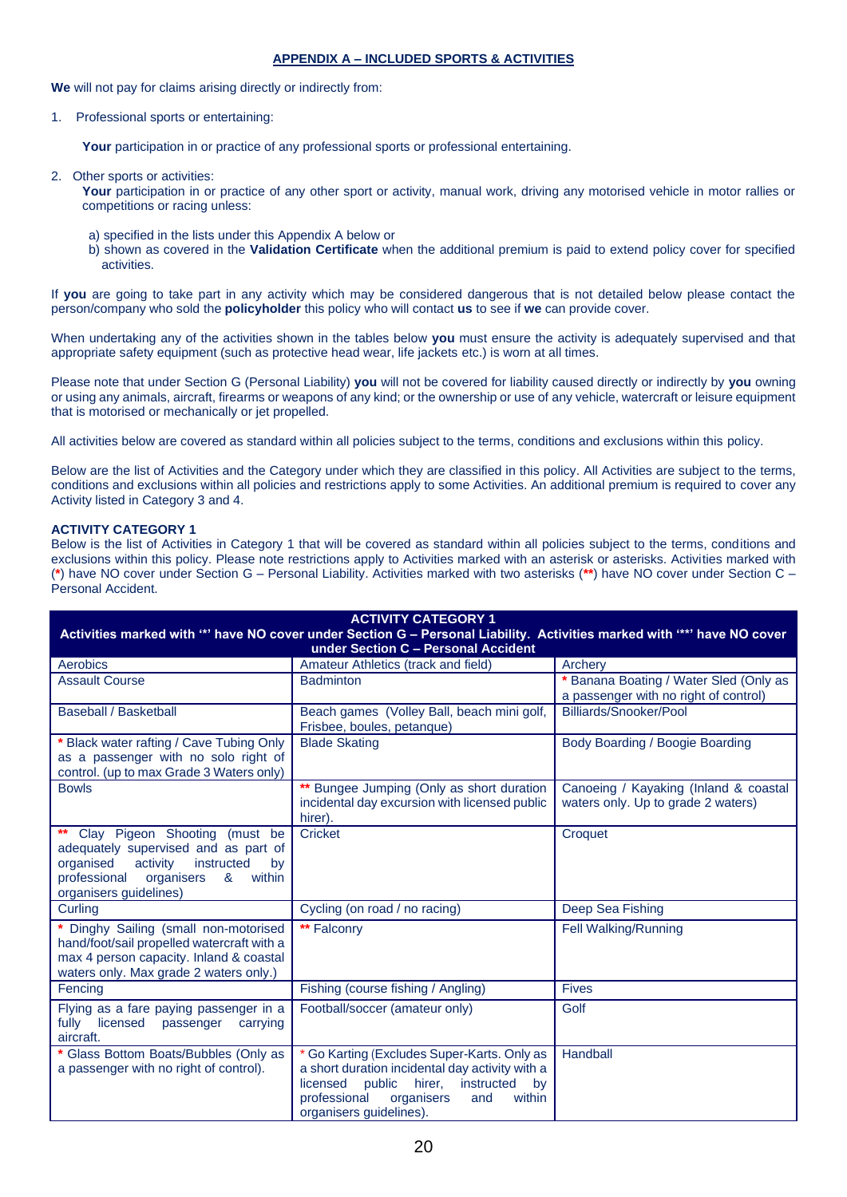# **APPENDIX A – INCLUDED SPORTS & ACTIVITIES**

**We** will not pay for claims arising directly or indirectly from:

### 1. Professional sports or entertaining:

Your participation in or practice of any professional sports or professional entertaining.

2. Other sports or activities:

Your participation in or practice of any other sport or activity, manual work, driving any motorised vehicle in motor rallies or competitions or racing unless:

- a) specified in the lists under this Appendix A below or
- b) shown as covered in the **Validation Certificate** when the additional premium is paid to extend policy cover for specified activities.

If **you** are going to take part in any activity which may be considered dangerous that is not detailed below please contact the person/company who sold the **policyholder** this policy who will contact **us** to see if **we** can provide cover.

When undertaking any of the activities shown in the tables below **you** must ensure the activity is adequately supervised and that appropriate safety equipment (such as protective head wear, life jackets etc.) is worn at all times.

Please note that under Section G (Personal Liability) **you** will not be covered for liability caused directly or indirectly by **you** owning or using any animals, aircraft, firearms or weapons of any kind; or the ownership or use of any vehicle, watercraft or leisure equipment that is motorised or mechanically or jet propelled.

All activities below are covered as standard within all policies subject to the terms, conditions and exclusions within this policy.

Below are the list of Activities and the Category under which they are classified in this policy. All Activities are subject to the terms, conditions and exclusions within all policies and restrictions apply to some Activities. An additional premium is required to cover any Activity listed in Category 3 and 4.

# **ACTIVITY CATEGORY 1**

Below is the list of Activities in Category 1 that will be covered as standard within all policies subject to the terms, conditions and exclusions within this policy. Please note restrictions apply to Activities marked with an asterisk or asterisks. Activities marked with (**\***) have NO cover under Section G – Personal Liability. Activities marked with two asterisks (**\*\***) have NO cover under Section C – Personal Accident.

| <b>ACTIVITY CATEGORY 1</b>                                                                                                                                                                |                                                                                                                                                                                                                              |                                                                                 |  |  |
|-------------------------------------------------------------------------------------------------------------------------------------------------------------------------------------------|------------------------------------------------------------------------------------------------------------------------------------------------------------------------------------------------------------------------------|---------------------------------------------------------------------------------|--|--|
| Activities marked with "*' have NO cover under Section G - Personal Liability. Activities marked with "**' have NO cover                                                                  |                                                                                                                                                                                                                              |                                                                                 |  |  |
| under Section C - Personal Accident                                                                                                                                                       |                                                                                                                                                                                                                              |                                                                                 |  |  |
| Aerobics                                                                                                                                                                                  | Amateur Athletics (track and field)                                                                                                                                                                                          | Archery                                                                         |  |  |
| <b>Assault Course</b>                                                                                                                                                                     | <b>Badminton</b>                                                                                                                                                                                                             | * Banana Boating / Water Sled (Only as<br>a passenger with no right of control) |  |  |
| <b>Baseball / Basketball</b>                                                                                                                                                              | Beach games (Volley Ball, beach mini golf,<br>Frisbee, boules, petanque)                                                                                                                                                     | Billiards/Snooker/Pool                                                          |  |  |
| Black water rafting / Cave Tubing Only<br>as a passenger with no solo right of<br>control. (up to max Grade 3 Waters only)                                                                | <b>Blade Skating</b>                                                                                                                                                                                                         | Body Boarding / Boogie Boarding                                                 |  |  |
| <b>Bowls</b>                                                                                                                                                                              | ** Bungee Jumping (Only as short duration<br>incidental day excursion with licensed public<br>hirer).                                                                                                                        | Canoeing / Kayaking (Inland & coastal<br>waters only. Up to grade 2 waters)     |  |  |
| ** Clay Pigeon Shooting (must be<br>adequately supervised and as part of<br>organised<br>activity<br>instructed<br>by<br>professional organisers<br>&<br>within<br>organisers guidelines) | Cricket                                                                                                                                                                                                                      | Croquet                                                                         |  |  |
| Curling                                                                                                                                                                                   | Cycling (on road / no racing)                                                                                                                                                                                                | Deep Sea Fishing                                                                |  |  |
| Dinghy Sailing (small non-motorised<br>hand/foot/sail propelled watercraft with a<br>max 4 person capacity. Inland & coastal<br>waters only. Max grade 2 waters only.)                    | ** Falconry                                                                                                                                                                                                                  | Fell Walking/Running                                                            |  |  |
| Fencing                                                                                                                                                                                   | Fishing (course fishing / Angling)                                                                                                                                                                                           | <b>Fives</b>                                                                    |  |  |
| Flying as a fare paying passenger in a<br>fully<br>licensed<br>passenger<br>carrying<br>aircraft.                                                                                         | Football/soccer (amateur only)                                                                                                                                                                                               | Golf                                                                            |  |  |
| Glass Bottom Boats/Bubbles (Only as<br>a passenger with no right of control).                                                                                                             | * Go Karting (Excludes Super-Karts. Only as<br>a short duration incidental day activity with a<br>licensed<br>public<br>hirer.<br>instructed<br>by<br>professional<br>organisers<br>and<br>within<br>organisers guidelines). | Handball                                                                        |  |  |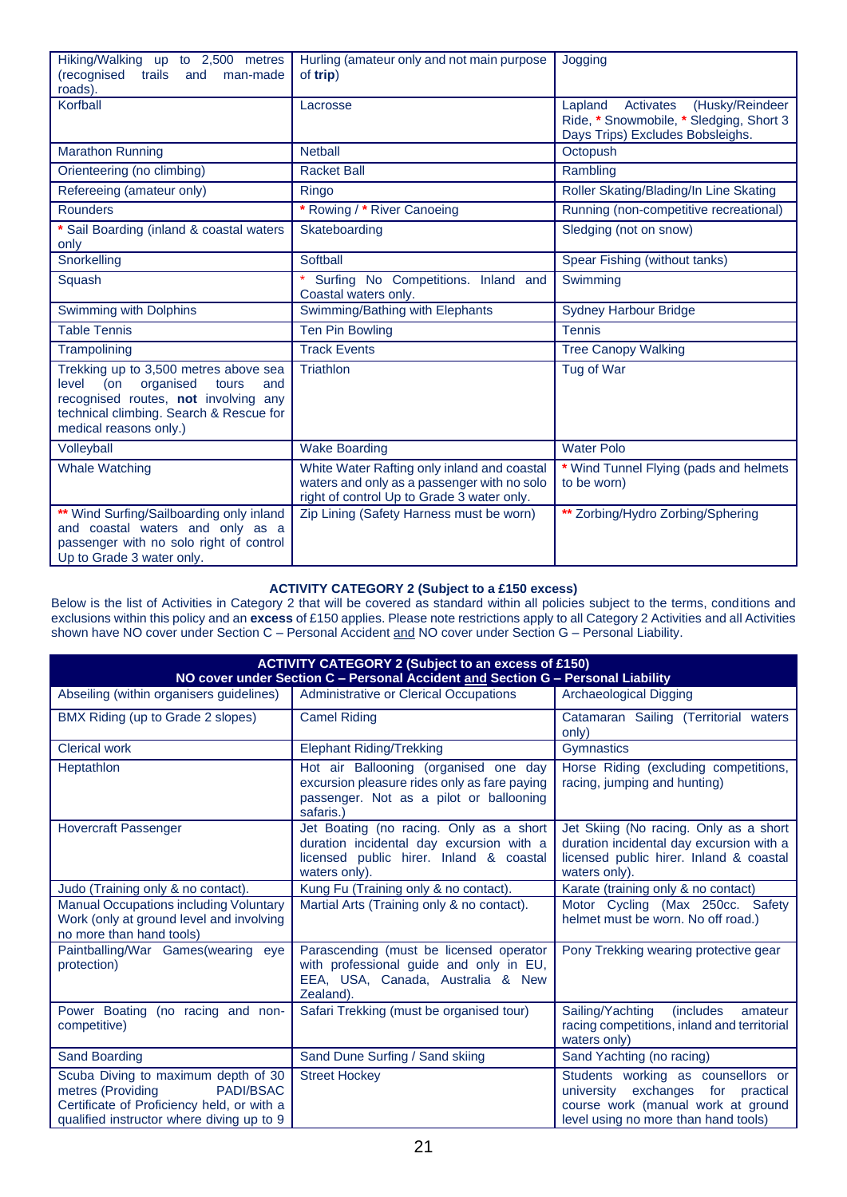| Hiking/Walking up to 2,500 metres<br>(recognised<br>man-made<br>trails<br>and<br>roads).                                                                                                        | Hurling (amateur only and not main purpose<br>of trip)                                                                                   | Jogging                                                                                                                |
|-------------------------------------------------------------------------------------------------------------------------------------------------------------------------------------------------|------------------------------------------------------------------------------------------------------------------------------------------|------------------------------------------------------------------------------------------------------------------------|
| Korfball                                                                                                                                                                                        | Lacrosse                                                                                                                                 | (Husky/Reindeer<br>Activates<br>Lapland<br>Ride, * Snowmobile, * Sledging, Short 3<br>Days Trips) Excludes Bobsleighs. |
| <b>Marathon Running</b>                                                                                                                                                                         | <b>Netball</b>                                                                                                                           | Octopush                                                                                                               |
| Orienteering (no climbing)                                                                                                                                                                      | <b>Racket Ball</b>                                                                                                                       | Rambling                                                                                                               |
| Refereeing (amateur only)                                                                                                                                                                       | Ringo                                                                                                                                    | Roller Skating/Blading/In Line Skating                                                                                 |
| <b>Rounders</b>                                                                                                                                                                                 | * Rowing / * River Canoeing                                                                                                              | Running (non-competitive recreational)                                                                                 |
| * Sail Boarding (inland & coastal waters<br>only                                                                                                                                                | Skateboarding                                                                                                                            | Sledging (not on snow)                                                                                                 |
| Snorkelling                                                                                                                                                                                     | Softball                                                                                                                                 | Spear Fishing (without tanks)                                                                                          |
| Squash                                                                                                                                                                                          | Surfing No Competitions. Inland and<br>Coastal waters only.                                                                              | Swimming                                                                                                               |
| Swimming with Dolphins                                                                                                                                                                          | Swimming/Bathing with Elephants                                                                                                          | <b>Sydney Harbour Bridge</b>                                                                                           |
| <b>Table Tennis</b>                                                                                                                                                                             | <b>Ten Pin Bowling</b>                                                                                                                   | <b>Tennis</b>                                                                                                          |
| Trampolining                                                                                                                                                                                    | <b>Track Events</b>                                                                                                                      | <b>Tree Canopy Walking</b>                                                                                             |
| Trekking up to 3,500 metres above sea<br>level<br>(on<br>organised<br>tours<br>and<br>recognised routes, not involving any<br>technical climbing. Search & Rescue for<br>medical reasons only.) | <b>Triathlon</b>                                                                                                                         | Tug of War                                                                                                             |
| Volleyball                                                                                                                                                                                      | <b>Wake Boarding</b>                                                                                                                     | <b>Water Polo</b>                                                                                                      |
| <b>Whale Watching</b>                                                                                                                                                                           | White Water Rafting only inland and coastal<br>waters and only as a passenger with no solo<br>right of control Up to Grade 3 water only. | * Wind Tunnel Flying (pads and helmets<br>to be worn)                                                                  |
| ** Wind Surfing/Sailboarding only inland<br>and coastal waters and only as a<br>passenger with no solo right of control<br>Up to Grade 3 water only.                                            | Zip Lining (Safety Harness must be worn)                                                                                                 | ** Zorbing/Hydro Zorbing/Sphering                                                                                      |

# **ACTIVITY CATEGORY 2 (Subject to a £150 excess)**

Below is the list of Activities in Category 2 that will be covered as standard within all policies subject to the terms, conditions and exclusions within this policy and an **excess** of £150 applies. Please note restrictions apply to all Category 2 Activities and all Activities shown have NO cover under Section C – Personal Accident and NO cover under Section G – Personal Liability.

| <b>ACTIVITY CATEGORY 2 (Subject to an excess of £150)</b><br>NO cover under Section C - Personal Accident and Section G - Personal Liability                            |                                                                                                                                                 |                                                                                                                                                        |  |
|-------------------------------------------------------------------------------------------------------------------------------------------------------------------------|-------------------------------------------------------------------------------------------------------------------------------------------------|--------------------------------------------------------------------------------------------------------------------------------------------------------|--|
| Abseiling (within organisers guidelines)                                                                                                                                | Administrative or Clerical Occupations                                                                                                          | <b>Archaeological Digging</b>                                                                                                                          |  |
| BMX Riding (up to Grade 2 slopes)                                                                                                                                       | <b>Camel Riding</b>                                                                                                                             | Catamaran Sailing (Territorial waters<br>only)                                                                                                         |  |
| <b>Clerical work</b>                                                                                                                                                    | <b>Elephant Riding/Trekking</b>                                                                                                                 | Gymnastics                                                                                                                                             |  |
| Heptathlon                                                                                                                                                              | Hot air Ballooning (organised one day<br>excursion pleasure rides only as fare paying<br>passenger. Not as a pilot or ballooning<br>safaris.    | Horse Riding (excluding competitions,<br>racing, jumping and hunting)                                                                                  |  |
| <b>Hovercraft Passenger</b>                                                                                                                                             | Jet Boating (no racing. Only as a short<br>duration incidental day excursion with a<br>licensed public hirer. Inland & coastal<br>waters only). | Jet Skiing (No racing. Only as a short<br>duration incidental day excursion with a<br>licensed public hirer. Inland & coastal<br>waters only).         |  |
| Judo (Training only & no contact).                                                                                                                                      | Kung Fu (Training only & no contact).                                                                                                           | Karate (training only & no contact)                                                                                                                    |  |
| <b>Manual Occupations including Voluntary</b><br>Work (only at ground level and involving<br>no more than hand tools)                                                   | Martial Arts (Training only & no contact).                                                                                                      | Motor Cycling (Max 250cc. Safety<br>helmet must be worn. No off road.)                                                                                 |  |
| Paintballing/War Games(wearing eye<br>protection)                                                                                                                       | Parascending (must be licensed operator<br>with professional guide and only in EU,<br>EEA, USA, Canada, Australia & New<br>Zealand).            | Pony Trekking wearing protective gear                                                                                                                  |  |
| Power Boating (no racing and non-<br>competitive)                                                                                                                       | Safari Trekking (must be organised tour)                                                                                                        | Sailing/Yachting<br><i>(includes</i><br>amateur<br>racing competitions, inland and territorial<br>waters only)                                         |  |
| <b>Sand Boarding</b>                                                                                                                                                    | Sand Dune Surfing / Sand skiing                                                                                                                 | Sand Yachting (no racing)                                                                                                                              |  |
| Scuba Diving to maximum depth of 30<br>metres (Providing<br><b>PADI/BSAC</b><br>Certificate of Proficiency held, or with a<br>qualified instructor where diving up to 9 | <b>Street Hockey</b>                                                                                                                            | Students working as counsellors or<br>university exchanges for practical<br>course work (manual work at ground<br>level using no more than hand tools) |  |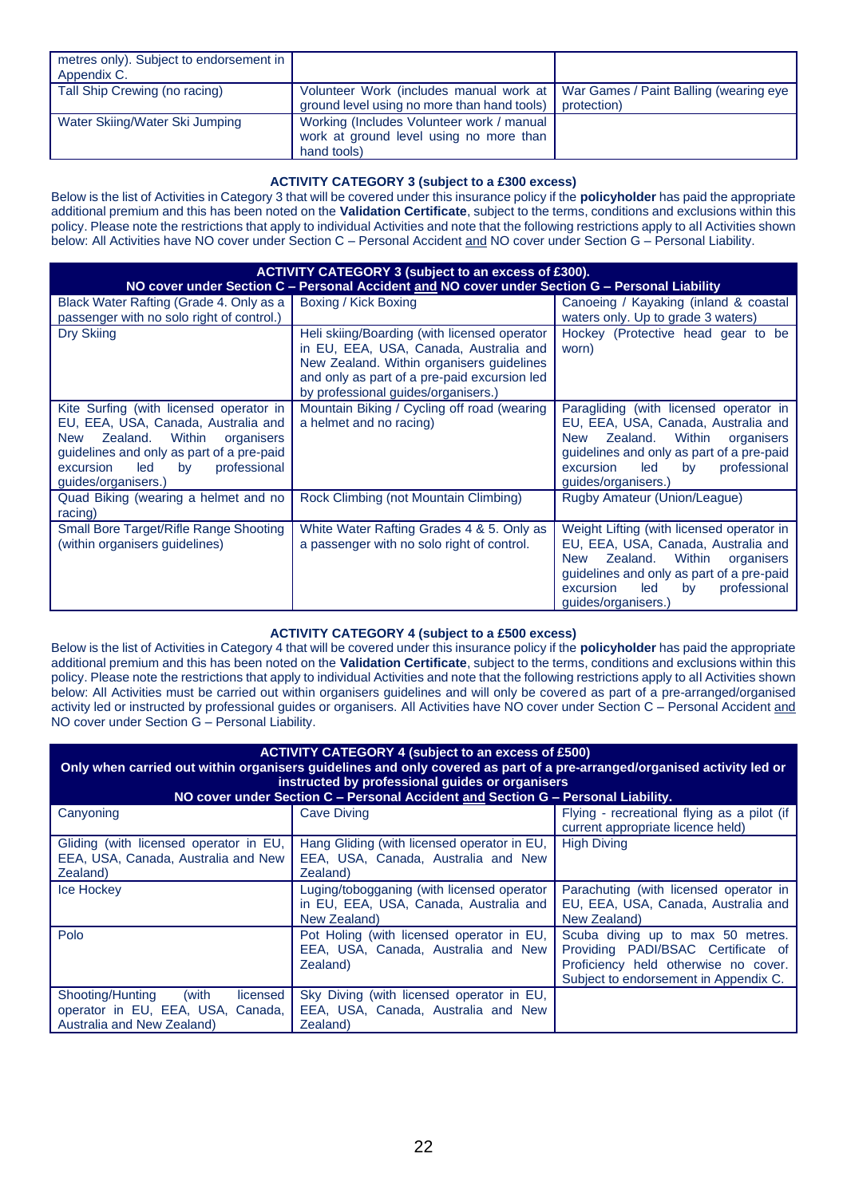| metres only). Subject to endorsement in<br>Appendix C. |                                                                                                                                 |             |
|--------------------------------------------------------|---------------------------------------------------------------------------------------------------------------------------------|-------------|
| Tall Ship Crewing (no racing)                          | Volunteer Work (includes manual work at   War Games / Paint Balling (wearing eye<br>ground level using no more than hand tools) | protection) |
| Water Skiing/Water Ski Jumping                         | Working (Includes Volunteer work / manual<br>work at ground level using no more than<br>hand tools)                             |             |

# **ACTIVITY CATEGORY 3 (subject to a £300 excess)**

Below is the list of Activities in Category 3 that will be covered under this insurance policy if the **policyholder** has paid the appropriate additional premium and this has been noted on the **Validation Certificate**, subject to the terms, conditions and exclusions within this policy. Please note the restrictions that apply to individual Activities and note that the following restrictions apply to all Activities shown below: All Activities have NO cover under Section C – Personal Accident and NO cover under Section G – Personal Liability.

| <b>ACTIVITY CATEGORY 3 (subject to an excess of £300).</b><br>NO cover under Section C - Personal Accident and NO cover under Section G - Personal Liability                                                                            |                                                                                                                                                                                                                            |                                                                                                                                                                                                                                                  |
|-----------------------------------------------------------------------------------------------------------------------------------------------------------------------------------------------------------------------------------------|----------------------------------------------------------------------------------------------------------------------------------------------------------------------------------------------------------------------------|--------------------------------------------------------------------------------------------------------------------------------------------------------------------------------------------------------------------------------------------------|
| Black Water Rafting (Grade 4. Only as a<br>passenger with no solo right of control.)                                                                                                                                                    | Boxing / Kick Boxing                                                                                                                                                                                                       | Canoeing / Kayaking (inland & coastal<br>waters only. Up to grade 3 waters)                                                                                                                                                                      |
| Dry Skiing                                                                                                                                                                                                                              | Heli skiing/Boarding (with licensed operator<br>in EU, EEA, USA, Canada, Australia and<br>New Zealand. Within organisers guidelines<br>and only as part of a pre-paid excursion led<br>by professional guides/organisers.) | Hockey (Protective head gear to be<br>worn)                                                                                                                                                                                                      |
| Kite Surfing (with licensed operator in<br>EU, EEA, USA, Canada, Australia and<br>Zealand.<br>Within<br>New<br>organisers<br>guidelines and only as part of a pre-paid<br>professional<br>led<br>excursion<br>by<br>guides/organisers.) | Mountain Biking / Cycling off road (wearing<br>a helmet and no racing)                                                                                                                                                     | Paragliding (with licensed operator in<br>EU, EEA, USA, Canada, Australia and<br>Within<br>Zealand.<br>New<br>organisers<br>guidelines and only as part of a pre-paid<br>led<br>professional<br>excursion<br>by<br>guides/organisers.)           |
| Quad Biking (wearing a helmet and no<br>racing)                                                                                                                                                                                         | Rock Climbing (not Mountain Climbing)                                                                                                                                                                                      | Rugby Amateur (Union/League)                                                                                                                                                                                                                     |
| Small Bore Target/Rifle Range Shooting<br>(within organisers guidelines)                                                                                                                                                                | White Water Rafting Grades 4 & 5. Only as<br>a passenger with no solo right of control.                                                                                                                                    | Weight Lifting (with licensed operator in<br>EU, EEA, USA, Canada, Australia and<br>Within<br>Zealand.<br><b>New</b><br>organisers<br>guidelines and only as part of a pre-paid<br>led<br>professional<br>by<br>excursion<br>guides/organisers.) |

# **ACTIVITY CATEGORY 4 (subject to a £500 excess)**

Below is the list of Activities in Category 4 that will be covered under this insurance policy if the **policyholder** has paid the appropriate additional premium and this has been noted on the **Validation Certificate**, subject to the terms, conditions and exclusions within this policy. Please note the restrictions that apply to individual Activities and note that the following restrictions apply to all Activities shown below: All Activities must be carried out within organisers guidelines and will only be covered as part of a pre-arranged/organised activity led or instructed by professional guides or organisers. All Activities have NO cover under Section C - Personal Accident and NO cover under Section G – Personal Liability.

| <b>ACTIVITY CATEGORY 4 (subject to an excess of £500)</b><br>Only when carried out within organisers guidelines and only covered as part of a pre-arranged/organised activity led or<br>instructed by professional guides or organisers<br>NO cover under Section C - Personal Accident and Section G - Personal Liability. |                                                                                                      |                                                                                                                                                          |  |
|-----------------------------------------------------------------------------------------------------------------------------------------------------------------------------------------------------------------------------------------------------------------------------------------------------------------------------|------------------------------------------------------------------------------------------------------|----------------------------------------------------------------------------------------------------------------------------------------------------------|--|
| Canyoning                                                                                                                                                                                                                                                                                                                   | <b>Cave Diving</b>                                                                                   | Flying - recreational flying as a pilot (if<br>current appropriate licence held)                                                                         |  |
| Gliding (with licensed operator in EU,<br>EEA, USA, Canada, Australia and New<br>Zealand)                                                                                                                                                                                                                                   | Hang Gliding (with licensed operator in EU,<br>EEA, USA, Canada, Australia and New<br>Zealand)       | <b>High Diving</b>                                                                                                                                       |  |
| <b>Ice Hockey</b>                                                                                                                                                                                                                                                                                                           | Luging/tobogganing (with licensed operator<br>in EU, EEA, USA, Canada, Australia and<br>New Zealand) | Parachuting (with licensed operator in<br>EU, EEA, USA, Canada, Australia and<br>New Zealand)                                                            |  |
| Polo                                                                                                                                                                                                                                                                                                                        | Pot Holing (with licensed operator in EU,<br>EEA, USA, Canada, Australia and New<br>Zealand)         | Scuba diving up to max 50 metres.<br>Providing PADI/BSAC Certificate of<br>Proficiency held otherwise no cover.<br>Subject to endorsement in Appendix C. |  |
| licensed<br>Shooting/Hunting (with<br>operator in EU, EEA, USA, Canada,<br>Australia and New Zealand)                                                                                                                                                                                                                       | Sky Diving (with licensed operator in EU,<br>EEA, USA, Canada, Australia and New<br>Zealand)         |                                                                                                                                                          |  |